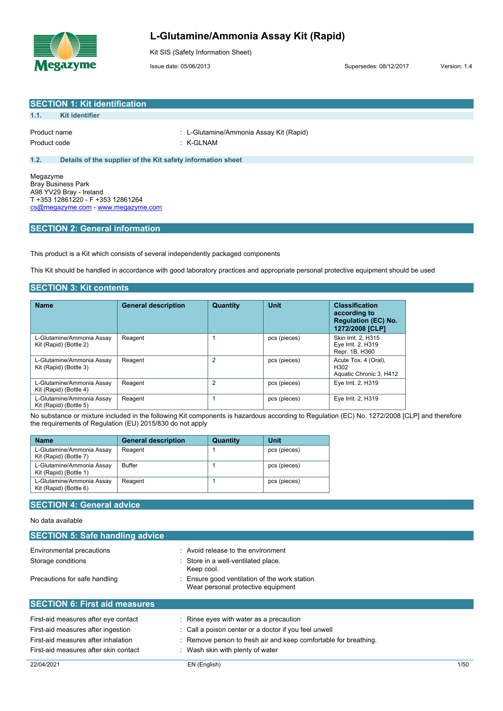

# **L-Glutamine/Ammonia Assay Kit (Rapid)**

Kit SIS (Safety Information Sheet)

Issue date: 05/06/2013 Supersedes: 08/12/2017 Version: 1.4

| <b>SECTION 1: Kit identification</b> |                                                             |                                         |  |
|--------------------------------------|-------------------------------------------------------------|-----------------------------------------|--|
| 1.1.                                 | Kit identifier                                              |                                         |  |
|                                      |                                                             | : L-Glutamine/Ammonia Assay Kit (Rapid) |  |
| Product name<br>Product code         |                                                             | : K-GLNAM                               |  |
|                                      |                                                             |                                         |  |
| 1.2.                                 | Details of the supplier of the Kit safety information sheet |                                         |  |
| Megazyme<br>- - -                    | $\sim$ $\sim$                                               |                                         |  |

Bray Business Park A98 YV29 Bray - Ireland T +353 12861220 - F +353 12861264 [cs@megazyme.com](mailto:cs@megazyme.com) - <www.megazyme.com>

### **SECTION 2: General information**

This product is a Kit which consists of several independently packaged components

This Kit should be handled in accordance with good laboratory practices and appropriate personal protective equipment should be used

### **SECTION 3: Kit contents**

| <b>Name</b>                                         | <b>General description</b> | Quantity | Unit         | <b>Classification</b><br>according to<br><b>Regulation (EC) No.</b><br>1272/2008 [CLP] |
|-----------------------------------------------------|----------------------------|----------|--------------|----------------------------------------------------------------------------------------|
| L-Glutamine/Ammonia Assay<br>Kit (Rapid) (Bottle 2) | Reagent                    |          | pcs (pieces) | Skin Irrit. 2, H315<br>Eye Irrit. 2, H319<br>Repr. 1B, H360                            |
| L-Glutamine/Ammonia Assay<br>Kit (Rapid) (Bottle 3) | Reagent                    | 2        | pcs (pieces) | Acute Tox. 4 (Oral),<br>H302<br>Aquatic Chronic 3, H412                                |
| L-Glutamine/Ammonia Assay<br>Kit (Rapid) (Bottle 4) | Reagent                    | 2        | pcs (pieces) | Eye Irrit. 2, H319                                                                     |
| L-Glutamine/Ammonia Assav<br>Kit (Rapid) (Bottle 5) | Reagent                    |          | pcs (pieces) | Eye Irrit. 2, H319                                                                     |

No substance or mixture included in the following Kit components is hazardous according to Regulation (EC) No. 1272/2008 [CLP] and therefore the requirements of Regulation (EU) 2015/830 do not apply

| <b>Name</b>                                         | <b>General description</b> | Quantity | Unit         |
|-----------------------------------------------------|----------------------------|----------|--------------|
| L-Glutamine/Ammonia Assay<br>Kit (Rapid) (Bottle 7) | Reagent                    |          | pcs (pieces) |
| L-Glutamine/Ammonia Assay<br>Kit (Rapid) (Bottle 1) | <b>Buffer</b>              |          | pcs (pieces) |
| L-Glutamine/Ammonia Assay<br>Kit (Rapid) (Bottle 6) | Reagent                    |          | pcs (pieces) |

# **SECTION 4: General advice**

#### No data available

| <b>SECTION 5: Safe handling advice</b> |                                                                                   |
|----------------------------------------|-----------------------------------------------------------------------------------|
| Environmental precautions              | : Avoid release to the environment                                                |
| Storage conditions                     | : Store in a well-ventilated place.<br>Keep cool.                                 |
| Precautions for safe handling          | Ensure good ventilation of the work station<br>Wear personal protective equipment |
| <b>SECTION 6: First aid measures</b>   |                                                                                   |
| First-aid measures after eye contact   | : Rinse eyes with water as a precaution                                           |
| First-aid measures after ingestion     | : Call a poison center or a doctor if you feel unwell                             |
| First-aid measures after inhalation    | Remove person to fresh air and keep comfortable for breathing.<br>÷               |
| First-aid measures after skin contact  | : Wash skin with plenty of water                                                  |

22/04/2021 EN (English) 1/50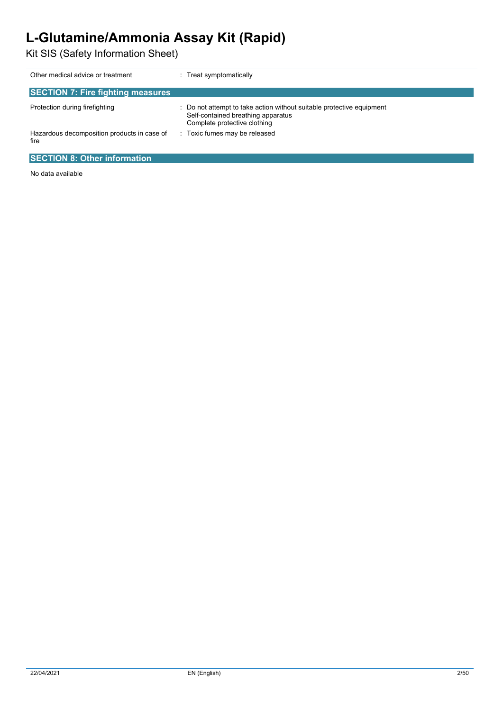# **L-Glutamine/Ammonia Assay Kit (Rapid)**

Kit SIS (Safety Information Sheet)

| Other medical advice or treatment                   | Treat symptomatically                                                                                                                     |  |
|-----------------------------------------------------|-------------------------------------------------------------------------------------------------------------------------------------------|--|
| <b>SECTION 7: Fire fighting measures</b>            |                                                                                                                                           |  |
| Protection during firefighting                      | Do not attempt to take action without suitable protective equipment<br>Self-contained breathing apparatus<br>Complete protective clothing |  |
| Hazardous decomposition products in case of<br>fire | Toxic fumes may be released<br>÷                                                                                                          |  |
| <b>SECTION 8: Other information</b>                 |                                                                                                                                           |  |

No data available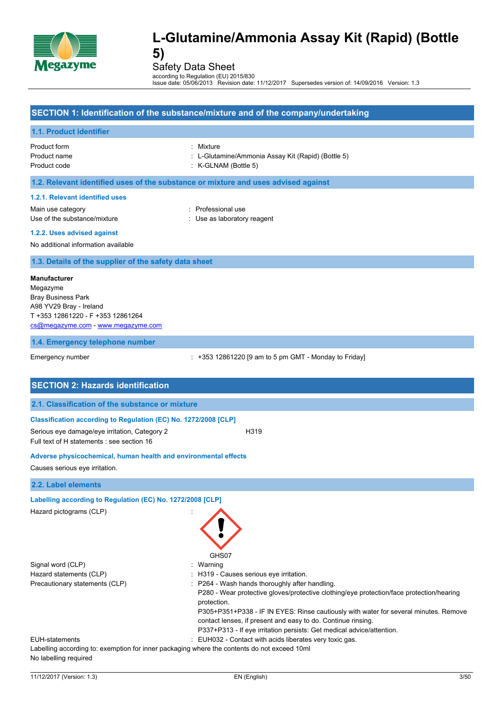

Safety Data Sheet

according to Regulation (EU) 2015/830 Issue date: 05/06/2013 Revision date: 11/12/2017 Supersedes version of: 14/09/2016 Version: 1.3

|                                                                                                                                                                    | SECTION 1: Identification of the substance/mixture and of the company/undertaking                                                                                                                                                                                                                                                                                                                                                     |
|--------------------------------------------------------------------------------------------------------------------------------------------------------------------|---------------------------------------------------------------------------------------------------------------------------------------------------------------------------------------------------------------------------------------------------------------------------------------------------------------------------------------------------------------------------------------------------------------------------------------|
| 1.1. Product identifier                                                                                                                                            |                                                                                                                                                                                                                                                                                                                                                                                                                                       |
| Product form<br>Product name<br>Product code                                                                                                                       | : Mixture<br>: L-Glutamine/Ammonia Assay Kit (Rapid) (Bottle 5)<br>$:$ K-GLNAM (Bottle 5)                                                                                                                                                                                                                                                                                                                                             |
| 1.2. Relevant identified uses of the substance or mixture and uses advised against                                                                                 |                                                                                                                                                                                                                                                                                                                                                                                                                                       |
| 1.2.1. Relevant identified uses                                                                                                                                    |                                                                                                                                                                                                                                                                                                                                                                                                                                       |
| Main use category<br>Use of the substance/mixture                                                                                                                  | : Professional use<br>: Use as laboratory reagent                                                                                                                                                                                                                                                                                                                                                                                     |
| 1.2.2. Uses advised against                                                                                                                                        |                                                                                                                                                                                                                                                                                                                                                                                                                                       |
| No additional information available                                                                                                                                |                                                                                                                                                                                                                                                                                                                                                                                                                                       |
| 1.3. Details of the supplier of the safety data sheet                                                                                                              |                                                                                                                                                                                                                                                                                                                                                                                                                                       |
| <b>Manufacturer</b><br>Megazyme<br><b>Bray Business Park</b><br>A98 YV29 Bray - Ireland<br>T +353 12861220 - F +353 12861264<br>cs@megazyme.com - www.megazyme.com |                                                                                                                                                                                                                                                                                                                                                                                                                                       |
| 1.4. Emergency telephone number                                                                                                                                    |                                                                                                                                                                                                                                                                                                                                                                                                                                       |
| Emergency number                                                                                                                                                   | $\div$ +353 12861220 [9 am to 5 pm GMT - Monday to Friday]                                                                                                                                                                                                                                                                                                                                                                            |
| <b>SECTION 2: Hazards identification</b>                                                                                                                           |                                                                                                                                                                                                                                                                                                                                                                                                                                       |
| 2.1. Classification of the substance or mixture                                                                                                                    |                                                                                                                                                                                                                                                                                                                                                                                                                                       |
| Classification according to Regulation (EC) No. 1272/2008 [CLP]                                                                                                    |                                                                                                                                                                                                                                                                                                                                                                                                                                       |
| Serious eye damage/eye irritation, Category 2<br>Full text of H statements : see section 16                                                                        | H319                                                                                                                                                                                                                                                                                                                                                                                                                                  |
| Adverse physicochemical, human health and environmental effects                                                                                                    |                                                                                                                                                                                                                                                                                                                                                                                                                                       |
| Causes serious eye irritation.                                                                                                                                     |                                                                                                                                                                                                                                                                                                                                                                                                                                       |
| 2.2. Label elements                                                                                                                                                |                                                                                                                                                                                                                                                                                                                                                                                                                                       |
| Labelling according to Regulation (EC) No. 1272/2008 [CLP]                                                                                                         |                                                                                                                                                                                                                                                                                                                                                                                                                                       |
| Hazard pictograms (CLP)                                                                                                                                            | GHS07                                                                                                                                                                                                                                                                                                                                                                                                                                 |
| Signal word (CLP)                                                                                                                                                  | : Warning                                                                                                                                                                                                                                                                                                                                                                                                                             |
| Hazard statements (CLP)<br>Precautionary statements (CLP)                                                                                                          | : H319 - Causes serious eye irritation.<br>: P264 - Wash hands thoroughly after handling.<br>P280 - Wear protective gloves/protective clothing/eye protection/face protection/hearing<br>protection.<br>P305+P351+P338 - IF IN EYES: Rinse cautiously with water for several minutes. Remove<br>contact lenses, if present and easy to do. Continue rinsing.<br>P337+P313 - If eye irritation persists: Get medical advice/attention. |
| <b>EUH-statements</b><br>Labelling according to: exemption for inner packaging where the contents do not exceed 10ml<br>No labelling required                      | : EUH032 - Contact with acids liberates very toxic gas.                                                                                                                                                                                                                                                                                                                                                                               |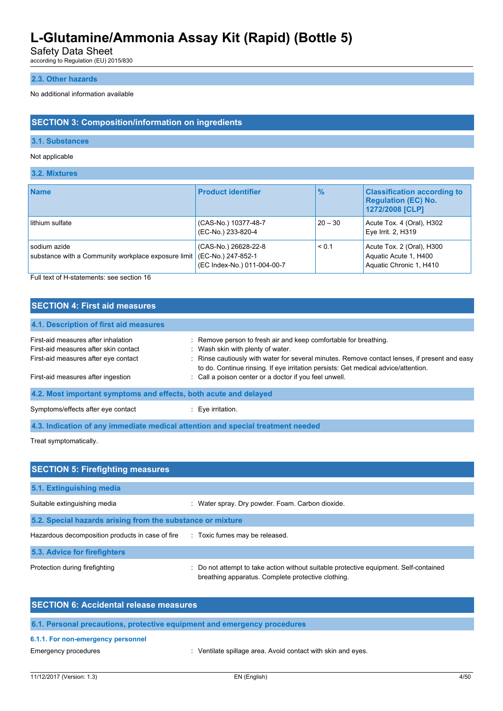Safety Data Sheet

according to Regulation (EU) 2015/830

### **2.3. Other hazards**

No additional information available

### **SECTION 3: Composition/information on ingredients**

### **3.1. Substances**

#### Not applicable

#### **3.2. Mixtures**

| <b>Name</b>                                                         | <b>Product identifier</b>                                                 | $\frac{9}{6}$ | <b>Classification according to</b><br><b>Regulation (EC) No.</b><br>1272/2008 [CLP] |
|---------------------------------------------------------------------|---------------------------------------------------------------------------|---------------|-------------------------------------------------------------------------------------|
| lithium sulfate                                                     | (CAS-No.) 10377-48-7<br>(EC-No.) 233-820-4                                | $20 - 30$     | Acute Tox. 4 (Oral), H302<br>Eye Irrit. 2, H319                                     |
| sodium azide<br>substance with a Community workplace exposure limit | (CAS-No.) 26628-22-8<br>(EC-No.) 247-852-1<br>(EC Index-No.) 011-004-00-7 | < 0.1         | Acute Tox. 2 (Oral), H300<br>Aquatic Acute 1, H400<br>Aquatic Chronic 1, H410       |

Full text of H-statements: see section 16

# **SECTION 4: First aid measures**

| 4.1. Description of first aid measures                           |                                                                                                                                                                                     |
|------------------------------------------------------------------|-------------------------------------------------------------------------------------------------------------------------------------------------------------------------------------|
| First-aid measures after inhalation                              | : Remove person to fresh air and keep comfortable for breathing.                                                                                                                    |
| First-aid measures after skin contact                            | : Wash skin with plenty of water.                                                                                                                                                   |
| First-aid measures after eye contact                             | : Rinse cautiously with water for several minutes. Remove contact lenses, if present and easy<br>to do. Continue rinsing. If eye irritation persists: Get medical advice/attention. |
| First-aid measures after ingestion                               | : Call a poison center or a doctor if you feel unwell.                                                                                                                              |
| 4.2. Most important symptoms and effects, both acute and delayed |                                                                                                                                                                                     |
| Symptoms/effects after eye contact                               | Eye irritation.                                                                                                                                                                     |

**4.3. Indication of any immediate medical attention and special treatment needed**

Treat symptomatically.

| <b>SECTION 5: Firefighting measures</b>                    |                                                                                                                                             |  |  |  |
|------------------------------------------------------------|---------------------------------------------------------------------------------------------------------------------------------------------|--|--|--|
| 5.1. Extinguishing media                                   |                                                                                                                                             |  |  |  |
| Suitable extinguishing media                               | Water spray. Dry powder. Foam. Carbon dioxide.                                                                                              |  |  |  |
| 5.2. Special hazards arising from the substance or mixture |                                                                                                                                             |  |  |  |
| Hazardous decomposition products in case of fire           | : Toxic fumes may be released.                                                                                                              |  |  |  |
| 5.3. Advice for firefighters                               |                                                                                                                                             |  |  |  |
| Protection during firefighting                             | : Do not attempt to take action without suitable protective equipment. Self-contained<br>breathing apparatus. Complete protective clothing. |  |  |  |

| <b>SECTION 6: Accidental release measures</b>                            |
|--------------------------------------------------------------------------|
| 6.1. Personal precautions, protective equipment and emergency procedures |
| 6.1.1. For non-emergency personnel                                       |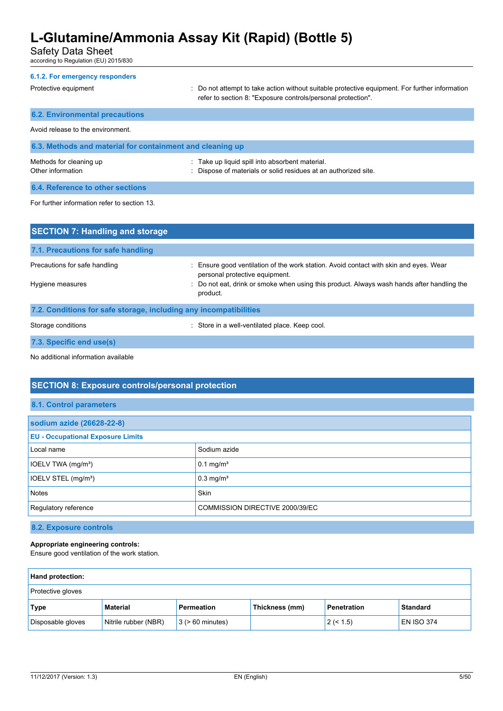Safety Data Sheet

according to Regulation (EU) 2015/830

| 6.1.2. For emergency responders<br>Protective equipment   | : Do not attempt to take action without suitable protective equipment. For further information<br>refer to section 8: "Exposure controls/personal protection". |  |  |
|-----------------------------------------------------------|----------------------------------------------------------------------------------------------------------------------------------------------------------------|--|--|
| <b>6.2. Environmental precautions</b>                     |                                                                                                                                                                |  |  |
| Avoid release to the environment.                         |                                                                                                                                                                |  |  |
| 6.3. Methods and material for containment and cleaning up |                                                                                                                                                                |  |  |
| Methods for cleaning up<br>Other information              | : Take up liquid spill into absorbent material.<br>: Dispose of materials or solid residues at an authorized site.                                             |  |  |
| 6.4. Reference to other sections                          |                                                                                                                                                                |  |  |
| For further information refer to section 13.              |                                                                                                                                                                |  |  |

| <b>SECTION 7: Handling and storage</b>                            |                                                                                                                         |  |  |
|-------------------------------------------------------------------|-------------------------------------------------------------------------------------------------------------------------|--|--|
| 7.1. Precautions for safe handling                                |                                                                                                                         |  |  |
| Precautions for safe handling                                     | : Ensure good ventilation of the work station. Avoid contact with skin and eyes. Wear<br>personal protective equipment. |  |  |
| Hygiene measures                                                  | : Do not eat, drink or smoke when using this product. Always wash hands after handling the<br>product.                  |  |  |
| 7.2. Conditions for safe storage, including any incompatibilities |                                                                                                                         |  |  |
| Storage conditions                                                | : Store in a well-ventilated place. Keep cool.                                                                          |  |  |
| 7.3. Specific end use(s)                                          |                                                                                                                         |  |  |

No additional information available

# **SECTION 8: Exposure controls/personal protection**

|  | 8.1. Control parameters |
|--|-------------------------|
|  |                         |

| sodium azide (26628-22-8)                |                                 |  |
|------------------------------------------|---------------------------------|--|
| <b>EU - Occupational Exposure Limits</b> |                                 |  |
| Local name                               | Sodium azide                    |  |
| IOELV TWA (mg/m <sup>3</sup> )           | $0.1 \text{ mg/m}^3$            |  |
| IOELV STEL (mg/m <sup>3</sup> )          | $0.3$ mg/m <sup>3</sup>         |  |
| Notes                                    | Skin                            |  |
| Regulatory reference                     | COMMISSION DIRECTIVE 2000/39/EC |  |

# **8.2. Exposure controls**

### **Appropriate engineering controls:**

Ensure good ventilation of the work station.

| <b>Hand protection:</b> |                      |                       |                |             |                   |
|-------------------------|----------------------|-----------------------|----------------|-------------|-------------------|
| Protective gloves       |                      |                       |                |             |                   |
| Type                    | Material             | Permeation            | Thickness (mm) | Penetration | <b>Standard</b>   |
| Disposable gloves       | Nitrile rubber (NBR) | $3$ ( $> 60$ minutes) |                | 2 (< 1.5)   | <b>EN ISO 374</b> |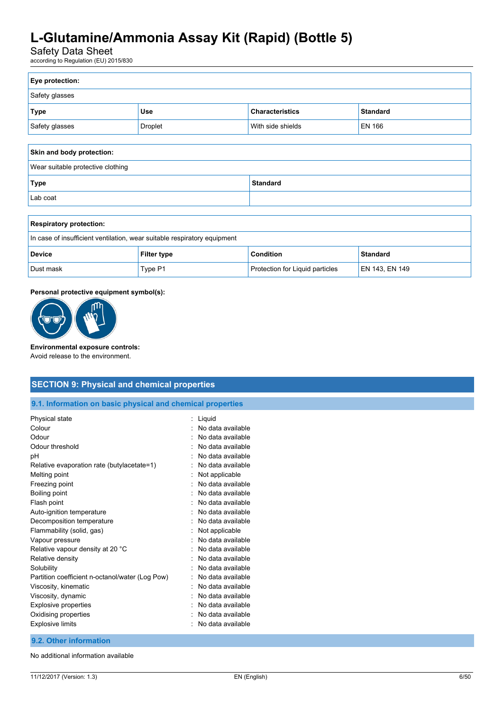# Safety Data Sheet

according to Regulation (EU) 2015/830

| Eye protection: |                |                        |                 |
|-----------------|----------------|------------------------|-----------------|
| Safety glasses  |                |                        |                 |
| <b>Type</b>     | <b>Use</b>     | <b>Characteristics</b> | <b>Standard</b> |
| Safety glasses  | <b>Droplet</b> | With side shields      | <b>EN 166</b>   |
|                 |                |                        |                 |

| Skin and body protection:         |          |  |
|-----------------------------------|----------|--|
| Wear suitable protective clothing |          |  |
| Type                              | Standard |  |
| Lab coat                          |          |  |

| <b>Respiratory protection:</b>                                           |                    |                                        |                 |
|--------------------------------------------------------------------------|--------------------|----------------------------------------|-----------------|
| In case of insufficient ventilation, wear suitable respiratory equipment |                    |                                        |                 |
| <b>Device</b>                                                            | <b>Filter type</b> | <b>Condition</b>                       | <b>Standard</b> |
| Dust mask                                                                | Type P1            | <b>Protection for Liquid particles</b> | EN 143, EN 149  |

### **Personal protective equipment symbol(s):**



#### **Environmental exposure controls:**

Avoid release to the environment.

# **SECTION 9: Physical and chemical properties**

**9.1. Information on basic physical and chemical properties**

| Physical state                                  | Liquid            |
|-------------------------------------------------|-------------------|
| Colour                                          | No data available |
| Odour                                           | No data available |
| Odour threshold                                 | No data available |
| рH                                              | No data available |
| Relative evaporation rate (butylacetate=1)      | No data available |
| Melting point                                   | Not applicable    |
| Freezing point                                  | No data available |
| Boiling point                                   | No data available |
| Flash point                                     | No data available |
| Auto-ignition temperature                       | No data available |
| Decomposition temperature                       | No data available |
| Flammability (solid, gas)                       | Not applicable    |
| Vapour pressure                                 | No data available |
| Relative vapour density at 20 °C                | No data available |
| Relative density                                | No data available |
| Solubility                                      | No data available |
| Partition coefficient n-octanol/water (Log Pow) | No data available |
| Viscosity, kinematic                            | No data available |
| Viscosity, dynamic                              | No data available |
| <b>Explosive properties</b>                     | No data available |
| Oxidising properties                            | No data available |
| Explosive limits                                | No data available |

#### **9.2. Other information**

No additional information available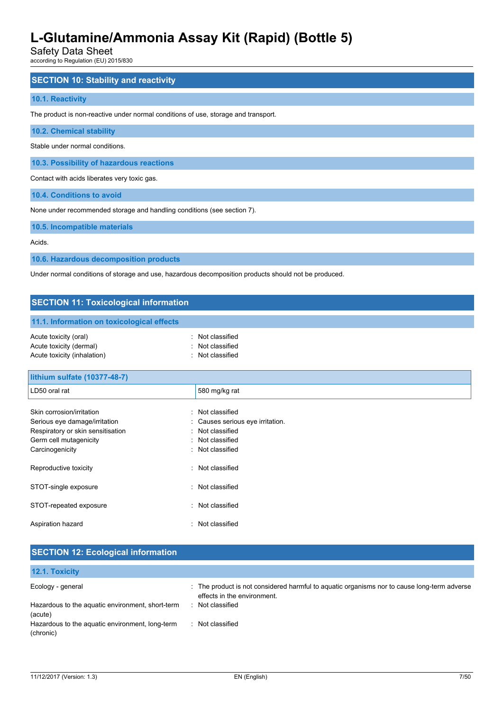Safety Data Sheet

according to Regulation (EU) 2015/830

### **SECTION 10: Stability and reactivity**

#### **10.1. Reactivity**

The product is non-reactive under normal conditions of use, storage and transport.

**10.2. Chemical stability**

Stable under normal conditions.

**10.3. Possibility of hazardous reactions**

Contact with acids liberates very toxic gas.

**10.4. Conditions to avoid**

None under recommended storage and handling conditions (see section 7).

**10.5. Incompatible materials**

Acids.

**10.6. Hazardous decomposition products**

Under normal conditions of storage and use, hazardous decomposition products should not be produced.

# **SECTION 11: Toxicological information 11.1. Information on toxicological effects** Acute toxicity (oral) **Example 2** Constant Constant Constant Constant Constant Constant Constant Constant Constant Acute toxicity (dermal) **Example 20** Acute toxicity (dermal) Acute toxicity (inhalation) **Example 2** Contract 2 Contract 2 Contract 2 Contract 2 Contract 2 Contract 2 Contract 2 Contract 2 Contract 2 Contract 2 Contract 2 Contract 2 Contract 2 Contract 2 Contract 2 Contract 2 Contra

| lithium sulfate (10377-48-7)        |                                  |
|-------------------------------------|----------------------------------|
| LD50 oral rat                       | 580 mg/kg rat                    |
|                                     |                                  |
| Skin corrosion/irritation           | Not classified                   |
| Serious eye damage/irritation       | : Causes serious eye irritation. |
| Respiratory or skin sensitisation   | Not classified                   |
| Germ cell mutagenicity<br>$\bullet$ | Not classified                   |
| Carcinogenicity                     | Not classified                   |
| Reproductive toxicity               | Not classified                   |
| STOT-single exposure<br>$\bullet$   | Not classified                   |
| STOT-repeated exposure              | : Not classified                 |
| Aspiration hazard                   | Not classified                   |

| <b>SECTION 12: Ecological information</b>                    |                                                                                                                            |
|--------------------------------------------------------------|----------------------------------------------------------------------------------------------------------------------------|
| 12.1. Toxicity                                               |                                                                                                                            |
| Ecology - general                                            | : The product is not considered harmful to aquatic organisms nor to cause long-term adverse<br>effects in the environment. |
| Hazardous to the aquatic environment, short-term<br>(acute)  | Not classified<br>л.                                                                                                       |
| Hazardous to the aquatic environment, long-term<br>(chronic) | Not classified<br>л.                                                                                                       |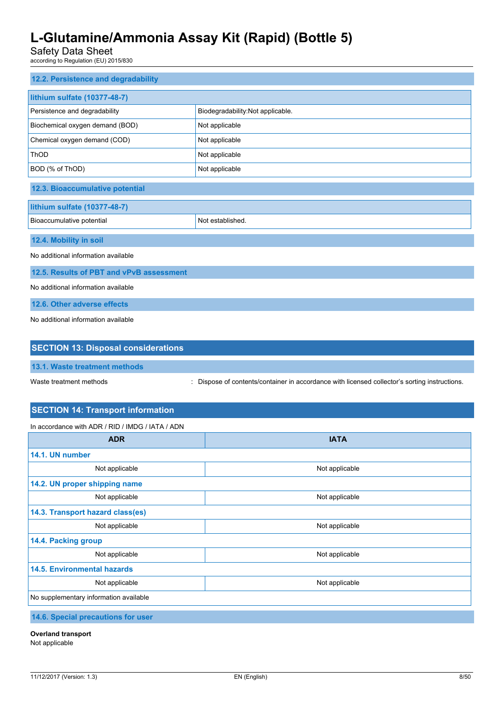Safety Data Sheet

according to Regulation (EU) 2015/830

| 12.2. Persistence and degradability           |                                   |  |
|-----------------------------------------------|-----------------------------------|--|
| lithium sulfate (10377-48-7)                  |                                   |  |
| Persistence and degradability                 | Biodegradability: Not applicable. |  |
| Biochemical oxygen demand (BOD)               | Not applicable                    |  |
| Chemical oxygen demand (COD)                  | Not applicable                    |  |
| ThOD                                          | Not applicable                    |  |
| BOD (% of ThOD)                               | Not applicable                    |  |
| 12.3. Bioaccumulative potential               |                                   |  |
| lithium sulfate (10377-48-7)                  |                                   |  |
| Bioaccumulative potential<br>Not established. |                                   |  |
| 12.4. Mobility in soil                        |                                   |  |
| No additional information available           |                                   |  |
| 12.5. Results of PBT and vPvB assessment      |                                   |  |
| No additional information available           |                                   |  |
| 12.6. Other adverse effects                   |                                   |  |
| No additional information available           |                                   |  |
|                                               |                                   |  |
| <b>SECTION 13: Disposal considerations</b>    |                                   |  |

**13.1. Waste treatment methods**

Waste treatment methods : Dispose of contents/container in accordance with licensed collector's sorting instructions.

# **SECTION 14: Transport information**

In accordance with ADR / RID / IMDG / IATA / ADN

| <b>ADR</b>                             | <b>IATA</b>    |  |
|----------------------------------------|----------------|--|
| 14.1. UN number                        |                |  |
| Not applicable                         | Not applicable |  |
| 14.2. UN proper shipping name          |                |  |
| Not applicable                         | Not applicable |  |
| 14.3. Transport hazard class(es)       |                |  |
| Not applicable                         | Not applicable |  |
| 14.4. Packing group                    |                |  |
| Not applicable                         | Not applicable |  |
| <b>14.5. Environmental hazards</b>     |                |  |
| Not applicable                         | Not applicable |  |
| No supplementary information available |                |  |
| 14 6 Chaoial processions for user      |                |  |

**14.6. Special precautions for user**

**Overland transport**

Not applicable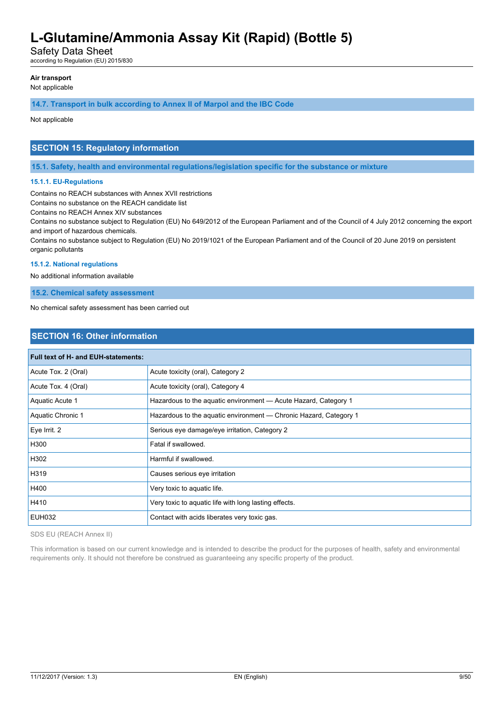Safety Data Sheet

according to Regulation (EU) 2015/830

#### **Air transport**

Not applicable

#### **14.7. Transport in bulk according to Annex II of Marpol and the IBC Code**

Not applicable

### **SECTION 15: Regulatory information**

**15.1. Safety, health and environmental regulations/legislation specific for the substance or mixture**

#### **15.1.1. EU-Regulations**

Contains no REACH substances with Annex XVII restrictions

Contains no substance on the REACH candidate list

Contains no REACH Annex XIV substances

Contains no substance subject to Regulation (EU) No 649/2012 of the European Parliament and of the Council of 4 July 2012 concerning the export and import of hazardous chemicals.

Contains no substance subject to Regulation (EU) No 2019/1021 of the European Parliament and of the Council of 20 June 2019 on persistent organic pollutants

#### **15.1.2. National regulations**

No additional information available

**15.2. Chemical safety assessment**

No chemical safety assessment has been carried out

### **SECTION 16: Other information**

| Full text of H- and EUH-statements: |                                                                   |  |
|-------------------------------------|-------------------------------------------------------------------|--|
| Acute Tox. 2 (Oral)                 | Acute toxicity (oral), Category 2                                 |  |
| Acute Tox. 4 (Oral)                 | Acute toxicity (oral), Category 4                                 |  |
| Aquatic Acute 1                     | Hazardous to the aquatic environment - Acute Hazard, Category 1   |  |
| Aquatic Chronic 1                   | Hazardous to the aquatic environment — Chronic Hazard, Category 1 |  |
| Eye Irrit. 2                        | Serious eye damage/eye irritation, Category 2                     |  |
| H300                                | Fatal if swallowed.                                               |  |
| H302                                | Harmful if swallowed.                                             |  |
| H319                                | Causes serious eye irritation                                     |  |
| H400                                | Very toxic to aquatic life.                                       |  |
| H410                                | Very toxic to aquatic life with long lasting effects.             |  |
| <b>EUH032</b>                       | Contact with acids liberates very toxic gas.                      |  |

SDS EU (REACH Annex II)

This information is based on our current knowledge and is intended to describe the product for the purposes of health, safety and environmental requirements only. It should not therefore be construed as guaranteeing any specific property of the product.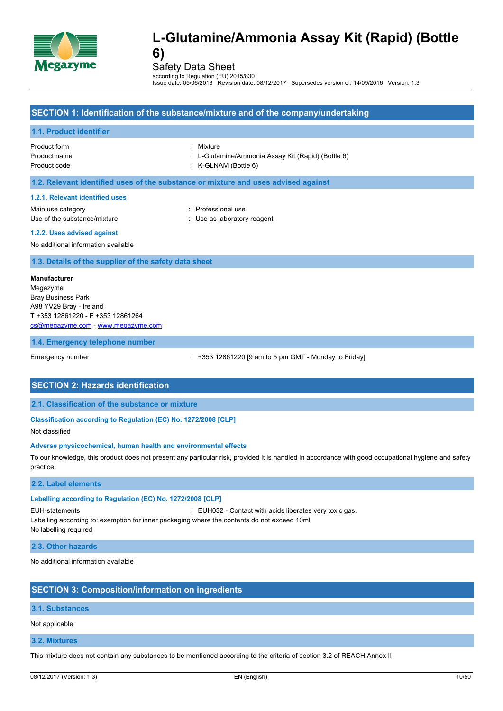

Safety Data Sheet

according to Regulation (EU) 2015/830 Issue date: 05/06/2013 Revision date: 08/12/2017 Supersedes version of: 14/09/2016 Version: 1.3

### **SECTION 1: Identification of the substance/mixture and of the company/undertaking**

#### **1.1. Product identifier**

Product form : Mixture Product code : K-GLNAM (Bottle 6)

- Product name : L-Glutamine/Ammonia Assay Kit (Rapid) (Bottle 6)
	-

#### **1.2. Relevant identified uses of the substance or mixture and uses advised against**

#### **1.2.1. Relevant identified uses**

Main use category **in the set of the COV** and Main use the Professional use Use of the substance/mixture in the substance/mixture in the substance of the substance in the substance of the substance of the substance of the substance of the substance of the substance of the substance of the substanc

#### **1.2.2. Uses advised against**

No additional information available

#### **1.3. Details of the supplier of the safety data sheet**

**Manufacturer** Megazyme Bray Business Park A98 YV29 Bray - Ireland T +353 12861220 - F +353 12861264 [cs@megazyme.com](mailto:cs@megazyme.com) - <www.megazyme.com>

#### **1.4. Emergency telephone number**

Emergency number : +353 12861220 [9 am to 5 pm GMT - Monday to Friday]

### **SECTION 2: Hazards identification**

**2.1. Classification of the substance or mixture**

#### **Classification according to Regulation (EC) No. 1272/2008 [CLP]**

Not classified

#### **Adverse physicochemical, human health and environmental effects**

To our knowledge, this product does not present any particular risk, provided it is handled in accordance with good occupational hygiene and safety practice.

#### **2.2. Label elements**

### **Labelling according to Regulation (EC) No. 1272/2008 [CLP]**

EUH-statements : EUH032 - Contact with acids liberates very toxic gas.

Labelling according to: exemption for inner packaging where the contents do not exceed 10ml

No labelling required

**2.3. Other hazards**

No additional information available

# **SECTION 3: Composition/information on ingredients**

### **3.1. Substances**

Not applicable

### **3.2. Mixtures**

This mixture does not contain any substances to be mentioned according to the criteria of section 3.2 of REACH Annex II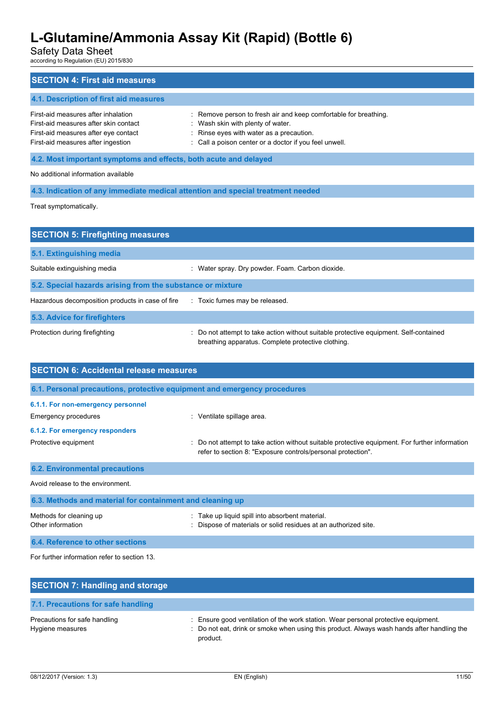Safety Data Sheet

according to Regulation (EU) 2015/830

| <b>SECTION 4: First aid measures</b>                                                                                                                       |                                                                                                                                                                                                             |  |
|------------------------------------------------------------------------------------------------------------------------------------------------------------|-------------------------------------------------------------------------------------------------------------------------------------------------------------------------------------------------------------|--|
| 4.1. Description of first aid measures                                                                                                                     |                                                                                                                                                                                                             |  |
| First-aid measures after inhalation<br>First-aid measures after skin contact<br>First-aid measures after eye contact<br>First-aid measures after ingestion | : Remove person to fresh air and keep comfortable for breathing.<br>: Wash skin with plenty of water.<br>: Rinse eyes with water as a precaution.<br>: Call a poison center or a doctor if you feel unwell. |  |
| 4.2. Most important symptoms and effects, both acute and delayed                                                                                           |                                                                                                                                                                                                             |  |
| No additional information available                                                                                                                        |                                                                                                                                                                                                             |  |
| 4.3. Indication of any immediate medical attention and special treatment needed                                                                            |                                                                                                                                                                                                             |  |
| Treat symptomatically.                                                                                                                                     |                                                                                                                                                                                                             |  |

| <b>SECTION 5: Firefighting measures</b>                    |                                                                                                                                             |  |
|------------------------------------------------------------|---------------------------------------------------------------------------------------------------------------------------------------------|--|
| 5.1. Extinguishing media                                   |                                                                                                                                             |  |
| Suitable extinguishing media                               | : Water spray. Dry powder. Foam. Carbon dioxide.                                                                                            |  |
| 5.2. Special hazards arising from the substance or mixture |                                                                                                                                             |  |
| Hazardous decomposition products in case of fire           | : Toxic fumes may be released.                                                                                                              |  |
| 5.3. Advice for firefighters                               |                                                                                                                                             |  |
| Protection during firefighting                             | : Do not attempt to take action without suitable protective equipment. Self-contained<br>breathing apparatus. Complete protective clothing. |  |

| <b>SECTION 6: Accidental release measures</b>                            |                                                                                                                                                              |  |
|--------------------------------------------------------------------------|--------------------------------------------------------------------------------------------------------------------------------------------------------------|--|
| 6.1. Personal precautions, protective equipment and emergency procedures |                                                                                                                                                              |  |
| 6.1.1. For non-emergency personnel                                       |                                                                                                                                                              |  |
| Emergency procedures                                                     | : Ventilate spillage area.                                                                                                                                   |  |
| 6.1.2. For emergency responders                                          |                                                                                                                                                              |  |
| Protective equipment                                                     | Do not attempt to take action without suitable protective equipment. For further information<br>refer to section 8: "Exposure controls/personal protection". |  |
| <b>6.2. Environmental precautions</b>                                    |                                                                                                                                                              |  |
| Avoid release to the environment.                                        |                                                                                                                                                              |  |
| 6.3. Methods and material for containment and cleaning up                |                                                                                                                                                              |  |
| Methods for cleaning up<br>Other information                             | Take up liquid spill into absorbent material.<br>Dispose of materials or solid residues at an authorized site.                                               |  |

**6.4. Reference to other sections** For further information refer to section 13.

| <b>SECTION 7: Handling and storage</b>            |                                                                                                                                                                                              |
|---------------------------------------------------|----------------------------------------------------------------------------------------------------------------------------------------------------------------------------------------------|
| 7.1. Precautions for safe handling                |                                                                                                                                                                                              |
| Precautions for safe handling<br>Hygiene measures | : Ensure good ventilation of the work station. Wear personal protective equipment.<br>: Do not eat, drink or smoke when using this product. Always wash hands after handling the<br>product. |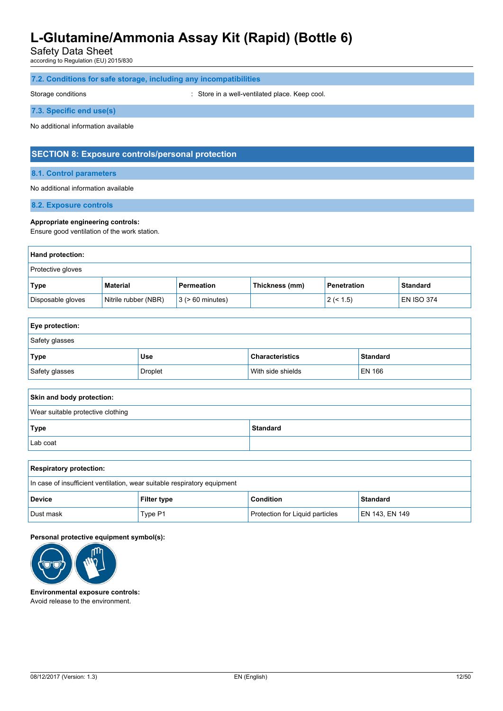Safety Data Sheet

according to Regulation (EU) 2015/830

### **7.2. Conditions for safe storage, including any incompatibilities**

Storage conditions **Storage conditions** : Store in a well-ventilated place. Keep cool.

#### **7.3. Specific end use(s)**

No additional information available

### **SECTION 8: Exposure controls/personal protection**

#### **8.1. Control parameters**

#### No additional information available

**8.2. Exposure controls**

#### **Appropriate engineering controls:**

Ensure good ventilation of the work station.

| <b>Hand protection:</b>  |                      |                       |                |             |                   |
|--------------------------|----------------------|-----------------------|----------------|-------------|-------------------|
| <b>Protective gloves</b> |                      |                       |                |             |                   |
| <b>Type</b>              | Material             | Permeation            | Thickness (mm) | Penetration | <b>Standard</b>   |
| Disposable gloves        | Nitrile rubber (NBR) | $3$ ( $> 60$ minutes) |                | 2 (< 1.5)   | <b>EN ISO 374</b> |

| <b>Eye protection:</b> |         |                        |                 |
|------------------------|---------|------------------------|-----------------|
| Safety glasses         |         |                        |                 |
| Type                   | Use     | <b>Characteristics</b> | <b>Standard</b> |
| Safety glasses         | Droplet | With side shields      | EN 166          |

| Skin and body protection:         |                 |  |
|-----------------------------------|-----------------|--|
| Wear suitable protective clothing |                 |  |
| Type                              | <b>Standard</b> |  |
| Lab coat                          |                 |  |

| <b>Respiratory protection:</b>                                             |         |                                        |                |
|----------------------------------------------------------------------------|---------|----------------------------------------|----------------|
| In case of insufficient ventilation, wear suitable respiratory equipment   |         |                                        |                |
| <b>Condition</b><br><b>Standard</b><br><b>Device</b><br><b>Filter type</b> |         |                                        |                |
| Dust mask                                                                  | Type P1 | <b>Protection for Liquid particles</b> | EN 143, EN 149 |

#### **Personal protective equipment symbol(s):**



**Environmental exposure controls:** Avoid release to the environment.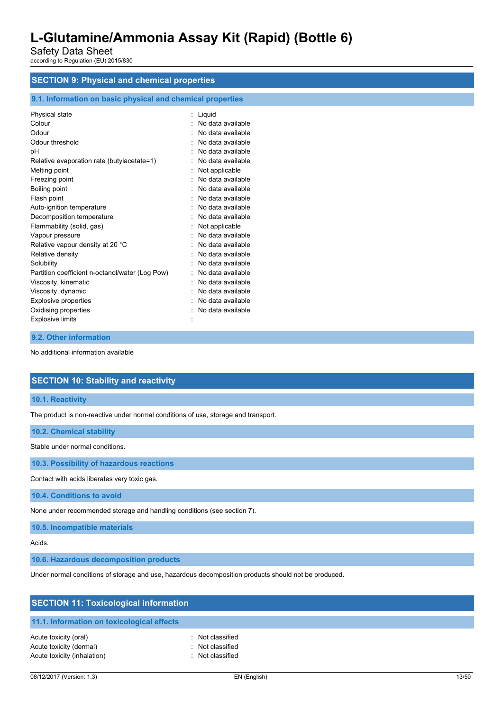Safety Data Sheet according to Regulation (EU) 2015/830

# **SECTION 9: Physical and chemical properties**

### **9.1. Information on basic physical and chemical properties**

| Physical state                                  | : Liquid            |
|-------------------------------------------------|---------------------|
| Colour                                          | : No data available |
| Odour                                           | No data available   |
| Odour threshold                                 | : No data available |
| pH                                              | No data available   |
| Relative evaporation rate (butylacetate=1)      | No data available   |
| Melting point                                   | : Not applicable    |
| Freezing point                                  | No data available   |
| Boiling point                                   | : No data available |
| Flash point                                     | No data available   |
| Auto-ignition temperature                       | : No data available |
| Decomposition temperature                       | : No data available |
| Flammability (solid, gas)                       | : Not applicable    |
| Vapour pressure                                 | : No data available |
| Relative vapour density at 20 °C                | : No data available |
| Relative density                                | No data available   |
| Solubility                                      | No data available   |
| Partition coefficient n-octanol/water (Log Pow) | No data available   |
| Viscosity, kinematic                            | No data available   |
| Viscosity, dynamic                              | No data available   |
| <b>Explosive properties</b>                     | No data available   |
| Oxidising properties                            | No data available   |
| <b>Explosive limits</b>                         |                     |
|                                                 |                     |

### **9.2. Other information**

No additional information available

### **SECTION 10: Stability and reactivity**

**10.1. Reactivity**

The product is non-reactive under normal conditions of use, storage and transport.

#### **10.2. Chemical stability**

Stable under normal conditions.

**10.3. Possibility of hazardous reactions**

Contact with acids liberates very toxic gas.

**10.4. Conditions to avoid**

None under recommended storage and handling conditions (see section 7).

**10.5. Incompatible materials**

Acids.

**10.6. Hazardous decomposition products**

Under normal conditions of storage and use, hazardous decomposition products should not be produced.

| <b>SECTION 11: Toxicological information</b>                                    |                                                          |  |  |
|---------------------------------------------------------------------------------|----------------------------------------------------------|--|--|
| 11.1. Information on toxicological effects                                      |                                                          |  |  |
| Acute toxicity (oral)<br>Acute toxicity (dermal)<br>Acute toxicity (inhalation) | : Not classified<br>: Not classified<br>: Not classified |  |  |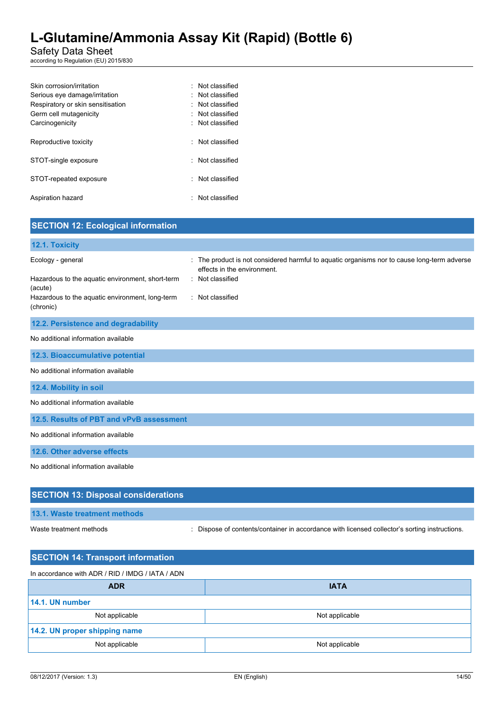### Safety Data Sheet

according to Regulation (EU) 2015/830

| Skin corrosion/irritation         | : Not classified       |
|-----------------------------------|------------------------|
| Serious eye damage/irritation     | : Not classified       |
| Respiratory or skin sensitisation | $\cdot$ Not classified |
| Germ cell mutagenicity            | : Not classified       |
| Carcinogenicity                   | : Not classified       |
|                                   |                        |
| Reproductive toxicity             | : Not classified       |
| STOT-single exposure              | · Not classified       |
|                                   |                        |
| STOT-repeated exposure            | · Not classified       |
|                                   |                        |
| Aspiration hazard                 | : Not classified       |
|                                   |                        |

| <b>SECTION 12: Ecological information</b>                                                                                                        |                                                                                                                                                                    |
|--------------------------------------------------------------------------------------------------------------------------------------------------|--------------------------------------------------------------------------------------------------------------------------------------------------------------------|
| 12.1. Toxicity                                                                                                                                   |                                                                                                                                                                    |
| Ecology - general<br>Hazardous to the aquatic environment, short-term<br>(acute)<br>Hazardous to the aquatic environment, long-term<br>(chronic) | : The product is not considered harmful to aquatic organisms nor to cause long-term adverse<br>effects in the environment.<br>: Not classified<br>: Not classified |
| 12.2. Persistence and degradability                                                                                                              |                                                                                                                                                                    |
| No additional information available                                                                                                              |                                                                                                                                                                    |
| 12.3. Bioaccumulative potential                                                                                                                  |                                                                                                                                                                    |
| No additional information available                                                                                                              |                                                                                                                                                                    |
| 12.4. Mobility in soil                                                                                                                           |                                                                                                                                                                    |
| No additional information available                                                                                                              |                                                                                                                                                                    |
| 12.5. Results of PBT and vPvB assessment                                                                                                         |                                                                                                                                                                    |
| No additional information available                                                                                                              |                                                                                                                                                                    |
| 12.6. Other adverse effects                                                                                                                      |                                                                                                                                                                    |
| No additional information available                                                                                                              |                                                                                                                                                                    |
| <b>SECTION 13: Disposal considerations</b>                                                                                                       |                                                                                                                                                                    |
| 13.1. Waste treatment methods                                                                                                                    |                                                                                                                                                                    |

Waste treatment methods : Dispose of contents/container in accordance with licensed collector's sorting instructions.

| <b>SECTION 14: Transport information</b>         |  |  |  |  |
|--------------------------------------------------|--|--|--|--|
| In accordance with ADR / RID / IMDG / IATA / ADN |  |  |  |  |
| <b>IATA</b>                                      |  |  |  |  |
| 14.1. UN number                                  |  |  |  |  |
| Not applicable                                   |  |  |  |  |
| 14.2. UN proper shipping name                    |  |  |  |  |
| Not applicable                                   |  |  |  |  |
|                                                  |  |  |  |  |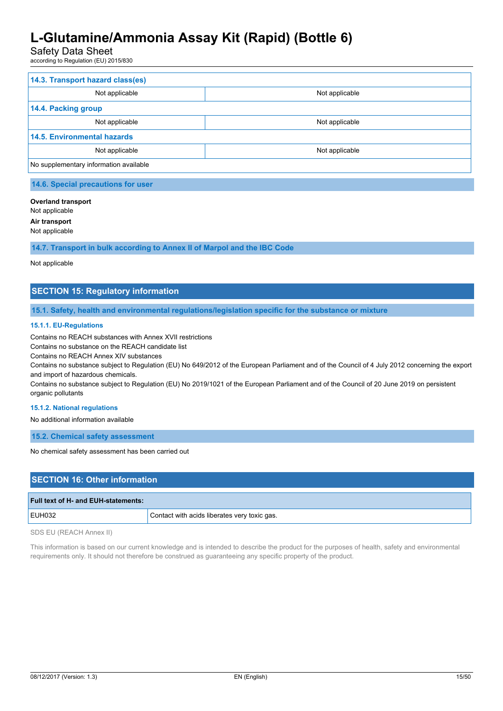# Safety Data Sheet

according to Regulation (EU) 2015/830

| 14.3. Transport hazard class(es)       |                |  |  |
|----------------------------------------|----------------|--|--|
| Not applicable                         | Not applicable |  |  |
| 14.4. Packing group                    |                |  |  |
| Not applicable                         | Not applicable |  |  |
| <b>14.5. Environmental hazards</b>     |                |  |  |
| Not applicable                         | Not applicable |  |  |
| No supplementary information available |                |  |  |

# **14.6. Special precautions for user**

#### **Overland transport**

Not applicable

**Air transport**

Not applicable

**14.7. Transport in bulk according to Annex II of Marpol and the IBC Code**

#### Not applicable

# **SECTION 15: Regulatory information**

**15.1. Safety, health and environmental regulations/legislation specific for the substance or mixture**

#### **15.1.1. EU-Regulations**

Contains no REACH substances with Annex XVII restrictions

Contains no substance on the REACH candidate list

Contains no REACH Annex XIV substances

Contains no substance subject to Regulation (EU) No 649/2012 of the European Parliament and of the Council of 4 July 2012 concerning the export and import of hazardous chemicals.

Contains no substance subject to Regulation (EU) No 2019/1021 of the European Parliament and of the Council of 20 June 2019 on persistent organic pollutants

#### **15.1.2. National regulations**

No additional information available

**15.2. Chemical safety assessment**

No chemical safety assessment has been carried out

### **SECTION 16: Other information**

| Full text of H- and EUH-statements: |                                              |
|-------------------------------------|----------------------------------------------|
| <b>EUH032</b>                       | Contact with acids liberates very toxic gas. |
|                                     |                                              |

SDS EU (REACH Annex II)

This information is based on our current knowledge and is intended to describe the product for the purposes of health, safety and environmental requirements only. It should not therefore be construed as guaranteeing any specific property of the product.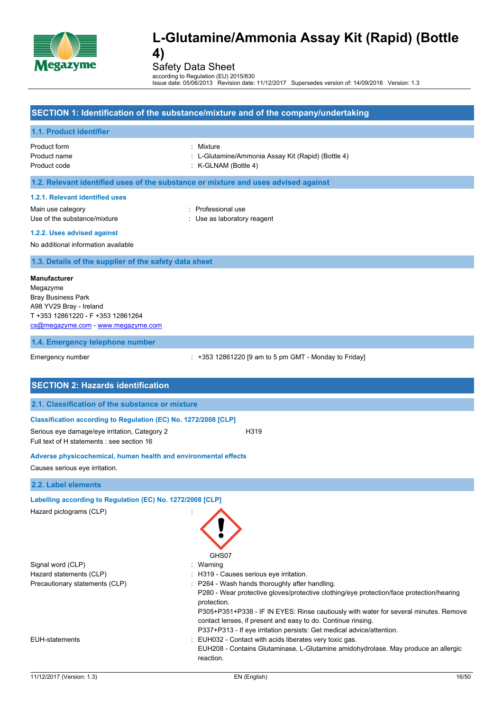

Safety Data Sheet

according to Regulation (EU) 2015/830 Issue date: 05/06/2013 Revision date: 11/12/2017 Supersedes version of: 14/09/2016 Version: 1.3

| SECTION 1: Identification of the substance/mixture and of the company/undertaking |  |
|-----------------------------------------------------------------------------------|--|
| 1.1. Product identifier                                                           |  |

Product form : Mixture Product code : K-GLNAM (Bottle 4)

- Product name **in the state of the state of the state of the state of the state of the state and the state and the state 4)** C-Glutamine/Ammonia Assay Kit (Rapid) (Bottle 4)
	-

### **1.2. Relevant identified uses of the substance or mixture and uses advised against**

#### **1.2.1. Relevant identified uses**

Main use category **Example 20** and the Professional use Use of the substance/mixture in the substance/mixture in the substance of the substance in the substance of the substance of the substance of the substance of the substance of the substance of the substance of the substanc

- 
- **1.2.2. Uses advised against**

### No additional information available

### **1.3. Details of the supplier of the safety data sheet**

#### **Manufacturer**

Megazyme Bray Business Park A98 YV29 Bray - Ireland T +353 12861220 - F +353 12861264 [cs@megazyme.com](mailto:cs@megazyme.com) - <www.megazyme.com>

**1.4. Emergency telephone number**

Emergency number : +353 12861220 [9 am to 5 pm GMT - Monday to Friday]

| <b>SECTION 2: Hazards identification</b>                                                    |                                                                                                                                                                                                                                                                                                                                                                                                                                       |
|---------------------------------------------------------------------------------------------|---------------------------------------------------------------------------------------------------------------------------------------------------------------------------------------------------------------------------------------------------------------------------------------------------------------------------------------------------------------------------------------------------------------------------------------|
| 2.1. Classification of the substance or mixture                                             |                                                                                                                                                                                                                                                                                                                                                                                                                                       |
| Classification according to Regulation (EC) No. 1272/2008 [CLP]                             |                                                                                                                                                                                                                                                                                                                                                                                                                                       |
| Serious eye damage/eye irritation, Category 2<br>Full text of H statements : see section 16 | H319                                                                                                                                                                                                                                                                                                                                                                                                                                  |
| Adverse physicochemical, human health and environmental effects                             |                                                                                                                                                                                                                                                                                                                                                                                                                                       |
| Causes serious eye irritation.                                                              |                                                                                                                                                                                                                                                                                                                                                                                                                                       |
| 2.2. Label elements                                                                         |                                                                                                                                                                                                                                                                                                                                                                                                                                       |
| Labelling according to Regulation (EC) No. 1272/2008 [CLP]<br>Hazard pictograms (CLP)       | GHS07                                                                                                                                                                                                                                                                                                                                                                                                                                 |
| Signal word (CLP)                                                                           | : Warning                                                                                                                                                                                                                                                                                                                                                                                                                             |
| Hazard statements (CLP)<br>Precautionary statements (CLP)                                   | : H319 - Causes serious eye irritation.<br>: P264 - Wash hands thoroughly after handling.<br>P280 - Wear protective gloves/protective clothing/eye protection/face protection/hearing<br>protection.<br>P305+P351+P338 - IF IN EYES: Rinse cautiously with water for several minutes. Remove<br>contact lenses, if present and easy to do. Continue rinsing.<br>P337+P313 - If eye irritation persists: Get medical advice/attention. |
| <b>EUH-statements</b>                                                                       | EUH032 - Contact with acids liberates very toxic gas.<br>EUH208 - Contains Glutaminase, L-Glutamine amidohydrolase. May produce an allergic<br>reaction.                                                                                                                                                                                                                                                                              |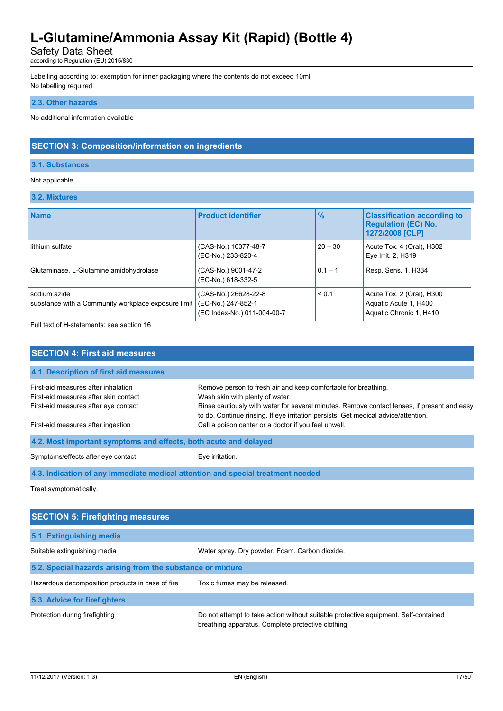Safety Data Sheet

according to Regulation (EU) 2015/830

Labelling according to: exemption for inner packaging where the contents do not exceed 10ml No labelling required

#### **2.3. Other hazards**

No additional information available

# **SECTION 3: Composition/information on ingredients**

#### **3.1. Substances**

#### Not applicable

**3.2. Mixtures**

| <b>Name</b>                                                         | <b>Product identifier</b>                                                 | $\frac{9}{6}$ | <b>Classification according to</b><br><b>Regulation (EC) No.</b><br>1272/2008 [CLP] |
|---------------------------------------------------------------------|---------------------------------------------------------------------------|---------------|-------------------------------------------------------------------------------------|
| lithium sulfate                                                     | (CAS-No.) 10377-48-7<br>(EC-No.) 233-820-4                                | $20 - 30$     | Acute Tox. 4 (Oral), H302<br>Eye Irrit. 2, H319                                     |
| Glutaminase, L-Glutamine amidohydrolase                             | (CAS-No.) 9001-47-2<br>(EC-No.) 618-332-5                                 | $0.1 - 1$     | Resp. Sens. 1, H334                                                                 |
| sodium azide<br>substance with a Community workplace exposure limit | (CAS-No.) 26628-22-8<br>(EC-No.) 247-852-1<br>(EC Index-No.) 011-004-00-7 | < 0.1         | Acute Tox. 2 (Oral), H300<br>Aquatic Acute 1, H400<br>Aquatic Chronic 1, H410       |

Full text of H-statements: see section 16

| <b>SECTION 4: First aid measures</b>                                                                                 |                                                                                                                                                                                                                                                                                              |  |  |  |
|----------------------------------------------------------------------------------------------------------------------|----------------------------------------------------------------------------------------------------------------------------------------------------------------------------------------------------------------------------------------------------------------------------------------------|--|--|--|
| 4.1. Description of first aid measures                                                                               |                                                                                                                                                                                                                                                                                              |  |  |  |
| First-aid measures after inhalation<br>First-aid measures after skin contact<br>First-aid measures after eye contact | : Remove person to fresh air and keep comfortable for breathing.<br>: Wash skin with plenty of water.<br>: Rinse cautiously with water for several minutes. Remove contact lenses, if present and easy<br>to do. Continue rinsing. If eye irritation persists: Get medical advice/attention. |  |  |  |
| First-aid measures after ingestion                                                                                   | : Call a poison center or a doctor if you feel unwell.                                                                                                                                                                                                                                       |  |  |  |
| 4.2. Most important symptoms and effects, both acute and delayed                                                     |                                                                                                                                                                                                                                                                                              |  |  |  |
| Symptoms/effects after eye contact                                                                                   | $\therefore$ Eve irritation.                                                                                                                                                                                                                                                                 |  |  |  |
| 4.3. Indication of any immediate medical attention and special treatment needed                                      |                                                                                                                                                                                                                                                                                              |  |  |  |

Treat symptomatically.

| <b>SECTION 5: Firefighting measures</b>                    |                                                                                                                                           |  |  |  |
|------------------------------------------------------------|-------------------------------------------------------------------------------------------------------------------------------------------|--|--|--|
| 5.1. Extinguishing media                                   |                                                                                                                                           |  |  |  |
| Suitable extinguishing media                               | Water spray. Dry powder. Foam. Carbon dioxide.                                                                                            |  |  |  |
| 5.2. Special hazards arising from the substance or mixture |                                                                                                                                           |  |  |  |
| Hazardous decomposition products in case of fire           | : Toxic fumes may be released.                                                                                                            |  |  |  |
| 5.3. Advice for firefighters                               |                                                                                                                                           |  |  |  |
| Protection during firefighting                             | Do not attempt to take action without suitable protective equipment. Self-contained<br>breathing apparatus. Complete protective clothing. |  |  |  |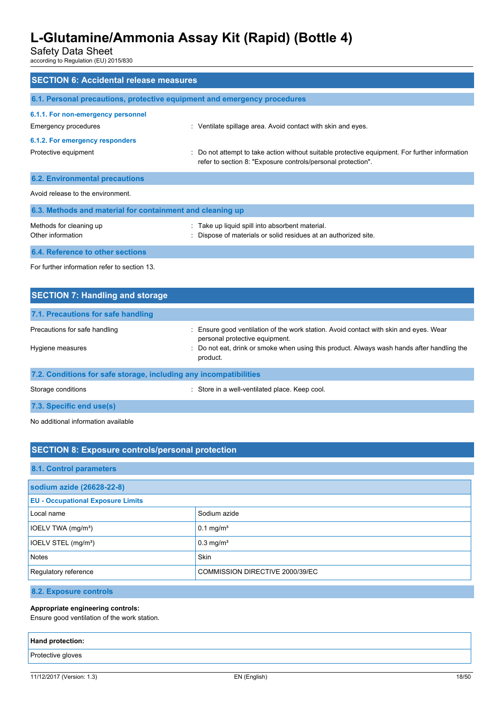Safety Data Sheet

according to Regulation (EU) 2015/830

| <b>SECTION 6: Accidental release measures</b>                            |                                                                                                                                                                |  |  |  |  |
|--------------------------------------------------------------------------|----------------------------------------------------------------------------------------------------------------------------------------------------------------|--|--|--|--|
| 6.1. Personal precautions, protective equipment and emergency procedures |                                                                                                                                                                |  |  |  |  |
| 6.1.1. For non-emergency personnel<br>Emergency procedures               | : Ventilate spillage area. Avoid contact with skin and eyes.                                                                                                   |  |  |  |  |
| 6.1.2. For emergency responders<br>Protective equipment                  | : Do not attempt to take action without suitable protective equipment. For further information<br>refer to section 8: "Exposure controls/personal protection". |  |  |  |  |
| <b>6.2. Environmental precautions</b>                                    |                                                                                                                                                                |  |  |  |  |
| Avoid release to the environment.                                        |                                                                                                                                                                |  |  |  |  |
| 6.3. Methods and material for containment and cleaning up                |                                                                                                                                                                |  |  |  |  |
| Methods for cleaning up<br>Other information                             | : Take up liquid spill into absorbent material.<br>: Dispose of materials or solid residues at an authorized site.                                             |  |  |  |  |
| 6.4. Reference to other sections                                         |                                                                                                                                                                |  |  |  |  |

For further information refer to section 13.

| <b>SECTION 7: Handling and storage</b>                            |                                                                                                                         |
|-------------------------------------------------------------------|-------------------------------------------------------------------------------------------------------------------------|
| 7.1. Precautions for safe handling                                |                                                                                                                         |
| Precautions for safe handling                                     | : Ensure good ventilation of the work station. Avoid contact with skin and eyes. Wear<br>personal protective equipment. |
| Hygiene measures                                                  | : Do not eat, drink or smoke when using this product. Always wash hands after handling the<br>product.                  |
| 7.2. Conditions for safe storage, including any incompatibilities |                                                                                                                         |
| Storage conditions                                                | : Store in a well-ventilated place. Keep cool.                                                                          |
| 7.3. Specific end use(s)                                          |                                                                                                                         |

No additional information available

# **SECTION 8: Exposure controls/personal protection**

#### **8.1. Control parameters**

| sodium azide (26628-22-8)                |                                 |  |  |
|------------------------------------------|---------------------------------|--|--|
| <b>EU - Occupational Exposure Limits</b> |                                 |  |  |
| Local name                               | Sodium azide                    |  |  |
| IOELV TWA (mg/m <sup>3</sup> )           | $0.1 \text{ mg/m}^3$            |  |  |
| IOELV STEL (mg/m <sup>3</sup> )          | $0.3$ mg/m <sup>3</sup>         |  |  |
| Notes                                    | Skin                            |  |  |
| Regulatory reference                     | COMMISSION DIRECTIVE 2000/39/EC |  |  |

**8.2. Exposure controls**

#### **Appropriate engineering controls:**

Ensure good ventilation of the work station.

# **Hand protection:** Protective gloves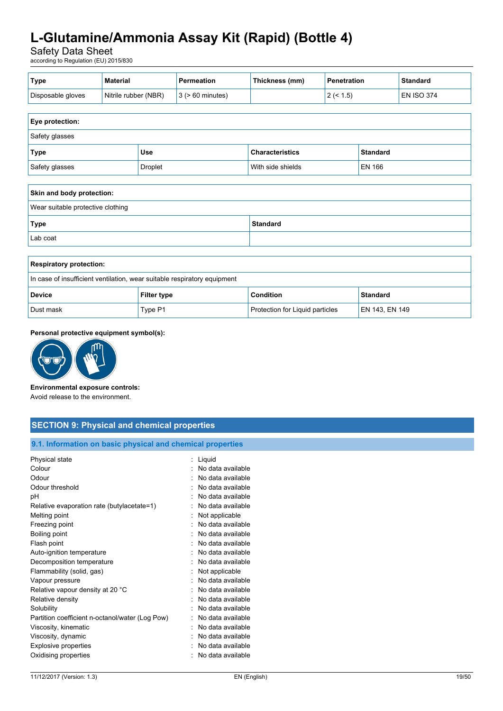Safety Data Sheet

according to Regulation (EU) 2015/830

| <b>Type</b>       | <b>Material</b>      | Permeation            | Thickness (mm) | <b>Penetration</b> | <b>Standard</b>   |
|-------------------|----------------------|-----------------------|----------------|--------------------|-------------------|
| Disposable gloves | Nitrile rubber (NBR) | $3$ ( $> 60$ minutes) |                | $.5^{\circ}$<br>_  | <b>EN ISO 374</b> |

| <b>Eye protection:</b> |                |                        |                 |
|------------------------|----------------|------------------------|-----------------|
| Safety glasses         |                |                        |                 |
| <b>Type</b>            | <b>Use</b>     | <b>Characteristics</b> | <b>Standard</b> |
| Safety glasses         | <b>Droplet</b> | With side shields      | EN 166          |

| Skin and body protection:         |                 |
|-----------------------------------|-----------------|
| Wear suitable protective clothing |                 |
| Type                              | <b>Standard</b> |
| Lab coat                          |                 |

| <b>Respiratory protection:</b>                                           |                    |                                        |                 |
|--------------------------------------------------------------------------|--------------------|----------------------------------------|-----------------|
| In case of insufficient ventilation, wear suitable respiratory equipment |                    |                                        |                 |
| <b>Device</b>                                                            | <b>Filter type</b> | <b>Condition</b>                       | <b>Standard</b> |
| Dust mask                                                                | Type P1            | <b>Protection for Liquid particles</b> | EN 143, EN 149  |

#### **Personal protective equipment symbol(s):**



#### **Environmental exposure controls:**

Avoid release to the environment.

### **SECTION 9: Physical and chemical properties 9.1. Information on basic physical and chemical properties** Physical state : Liquid Colour **Colour Colour Colour Colour Colour Colour Colour Colour Colour Colour** Odour : No data available : No data available Odour threshold **in the set of the set of the set of the set of the set of the set of the set of the set of the set of the set of the set of the set of the set of the set of the set of the set of the set of the set of the** pH : No data available Relative evaporation rate (butylacetate=1) : No data available Melting point and the state of the state of the Melting point and the Melting point of the Melting Solid State State State State State State State State State State State State State State State State State State State Sta Freezing point **in the case of the case of the case of the case of the case of the case of the case of the case of the case of the case of the case of the case of the case of the case of the case of the case of the case of** Boiling point : No data available Flash point **in the case of the case of the case of the case of the case of the case of the case of the case of the case of the case of the case of the case of the case of the case of the case of the case of the case of th** Auto-ignition temperature in the state of the state of the No data available Decomposition temperature **interest and the Composition temperature** : No data available Flammability (solid, gas)  $\blacksquare$  : Not applicable Vapour pressure in the same state of the state of the No data available in the Vapour pressure Relative vapour density at 20 °C : No data available Relative density **EXECUTE:** No data available Solubility : No data available : No data available

Partition coefficient n-octanol/water (Log Pow) : No data available Viscosity, kinematic **intervalse in the Contract of Contract August** 2012 : No data available Viscosity, dynamic **intervalse in the Contract of Contract August** 2012 : No data available Explosive properties **in the explosive properties** in the set of the set of the set of the set of the set of the set of the set of the set of the set of the set of the set of the set of the set of the set of the set of the Oxidising properties : No data available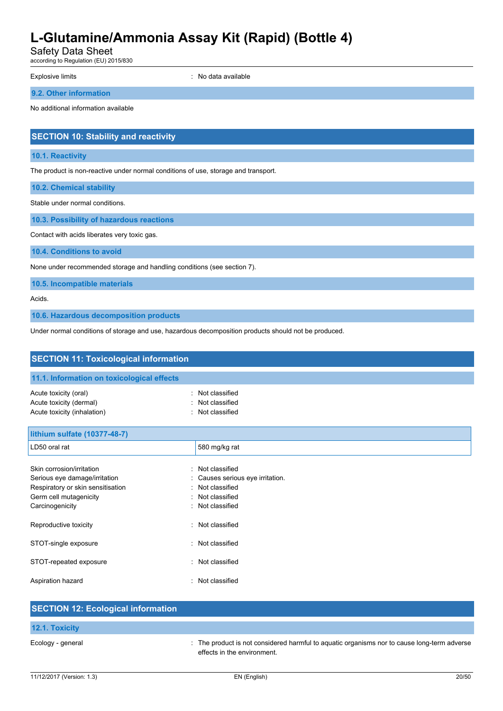Safety Data Sheet

according to Regulation (EU) 2015/830

Explosive limits **Explosive Limits Explosive Limits Explosive Limits Explosive Limits Explosive Limits EXPLOSIVE 2018** 

**9.2. Other information**

No additional information available

# **SECTION 10: Stability and reactivity**

#### **10.1. Reactivity**

The product is non-reactive under normal conditions of use, storage and transport.

**10.2. Chemical stability**

Stable under normal conditions.

**10.3. Possibility of hazardous reactions**

Contact with acids liberates very toxic gas.

**10.4. Conditions to avoid**

None under recommended storage and handling conditions (see section 7).

**10.5. Incompatible materials**

Acids.

**10.6. Hazardous decomposition products**

Under normal conditions of storage and use, hazardous decomposition products should not be produced.

| <b>SECTION 11: Toxicological information</b>                                                                                                                                                  |                                                                                                                                                       |  |
|-----------------------------------------------------------------------------------------------------------------------------------------------------------------------------------------------|-------------------------------------------------------------------------------------------------------------------------------------------------------|--|
| 11.1. Information on toxicological effects                                                                                                                                                    |                                                                                                                                                       |  |
| Acute toxicity (oral)<br>Acute toxicity (dermal)<br>Acute toxicity (inhalation)                                                                                                               | Not classified<br>٠<br>Not classified<br>Not classified                                                                                               |  |
| lithium sulfate (10377-48-7)                                                                                                                                                                  |                                                                                                                                                       |  |
| LD50 oral rat                                                                                                                                                                                 | 580 mg/kg rat                                                                                                                                         |  |
| Skin corrosion/irritation<br>Serious eye damage/irritation<br>Respiratory or skin sensitisation<br>Germ cell mutagenicity<br>Carcinogenicity<br>Reproductive toxicity<br>STOT-single exposure | Not classified<br>۰.<br>Causes serious eye irritation.<br>Not classified<br>Not classified<br>Not classified<br>Not classified<br>٠<br>Not classified |  |
| STOT-repeated exposure                                                                                                                                                                        | Not classified<br>$\bullet$                                                                                                                           |  |
| Aspiration hazard                                                                                                                                                                             | Not classified                                                                                                                                        |  |
| <b>OFOTION 40. Factorized information</b>                                                                                                                                                     |                                                                                                                                                       |  |

| <b>SECTION 12: Ecological information</b> |                                                                                                                            |
|-------------------------------------------|----------------------------------------------------------------------------------------------------------------------------|
| <b>12.1. Toxicity</b>                     |                                                                                                                            |
| Ecology - general                         | : The product is not considered harmful to aguatic organisms nor to cause long-term adverse<br>effects in the environment. |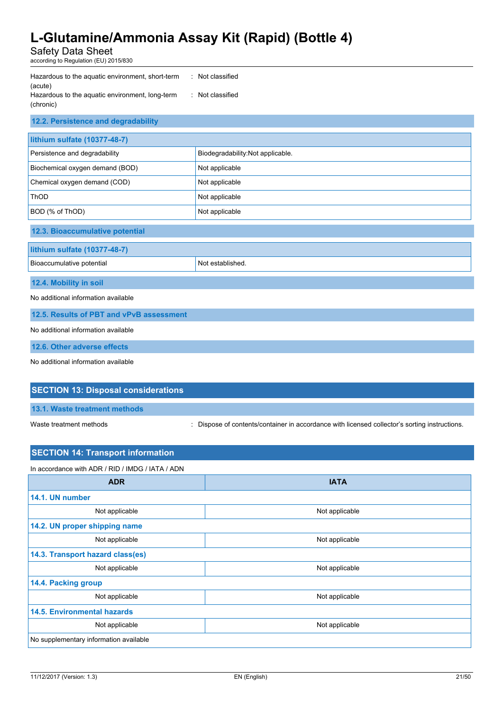Safety Data Sheet according to Regulation (EU) 2015/830

| Hazardous to the aguatic environment, short-term | : Not classified |
|--------------------------------------------------|------------------|
| (acute)                                          |                  |
| Hazardous to the aquatic environment, long-term  | : Not classified |
| (chronic)                                        |                  |

# **12.2. Persistence and degradability**

| lithium sulfate (10377-48-7)    |                                   |  |
|---------------------------------|-----------------------------------|--|
| Persistence and degradability   | Biodegradability: Not applicable. |  |
| Biochemical oxygen demand (BOD) | Not applicable                    |  |
| Chemical oxygen demand (COD)    | Not applicable                    |  |
| <b>ThOD</b>                     | Not applicable                    |  |
| BOD (% of ThOD)                 | Not applicable                    |  |
| 12.3. Bioaccumulative potential |                                   |  |
| lithium sulfate (10377-48-7)    |                                   |  |
| Bioaccumulative potential       | Not established.                  |  |

# **12.4. Mobility in soil**

No additional information available

**12.5. Results of PBT and vPvB assessment**

No additional information available

**12.6. Other adverse effects**

No additional information available

### **SECTION 13: Disposal considerations**

**13.1. Waste treatment methods**

Waste treatment methods : Dispose of contents/container in accordance with licensed collector's sorting instructions.

# **SECTION 14: Transport information** In accordance with ADR / RID / IMDG / IATA / ADN **ADR IATA 14.1. UN number** Not applicable Not applicable Not applicable **14.2. UN proper shipping name** Not applicable **Not applicable** Not applicable **14.3. Transport hazard class(es)** Not applicable **Not** applicable **Not** applicable **14.4. Packing group** Not applicable Not applicable Not applicable **14.5. Environmental hazards** Not applicable Not applicable Not applicable No supplementary information available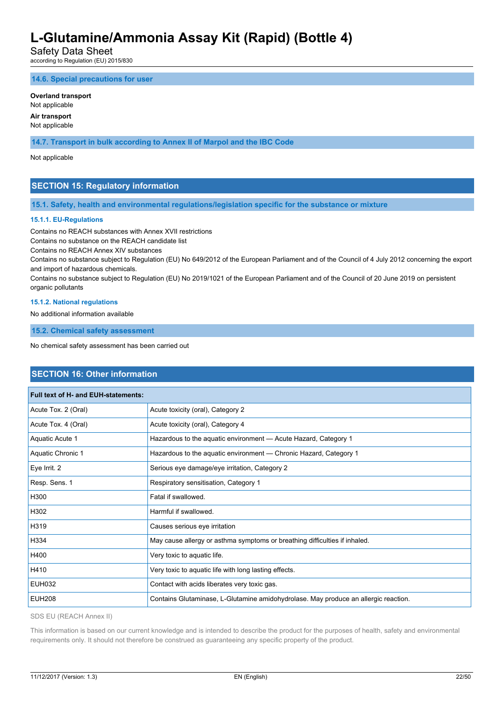Safety Data Sheet

according to Regulation (EU) 2015/830

**14.6. Special precautions for user**

#### **Overland transport**

Not applicable

#### **Air transport** Not applicable

**14.7. Transport in bulk according to Annex II of Marpol and the IBC Code**

Not applicable

### **SECTION 15: Regulatory information**

**15.1. Safety, health and environmental regulations/legislation specific for the substance or mixture**

#### **15.1.1. EU-Regulations**

Contains no REACH substances with Annex XVII restrictions

Contains no substance on the REACH candidate list

Contains no REACH Annex XIV substances

Contains no substance subject to Regulation (EU) No 649/2012 of the European Parliament and of the Council of 4 July 2012 concerning the export and import of hazardous chemicals.

Contains no substance subject to Regulation (EU) No 2019/1021 of the European Parliament and of the Council of 20 June 2019 on persistent organic pollutants

#### **15.1.2. National regulations**

No additional information available

**15.2. Chemical safety assessment**

No chemical safety assessment has been carried out

### **SECTION 16: Other information**

| Full text of H- and EUH-statements: |                                                                                     |
|-------------------------------------|-------------------------------------------------------------------------------------|
| Acute Tox. 2 (Oral)                 | Acute toxicity (oral), Category 2                                                   |
| Acute Tox. 4 (Oral)                 | Acute toxicity (oral), Category 4                                                   |
| Aquatic Acute 1                     | Hazardous to the aquatic environment - Acute Hazard, Category 1                     |
| Aquatic Chronic 1                   | Hazardous to the aquatic environment — Chronic Hazard, Category 1                   |
| Eye Irrit. 2                        | Serious eye damage/eye irritation, Category 2                                       |
| Resp. Sens. 1                       | Respiratory sensitisation, Category 1                                               |
| H300                                | Fatal if swallowed.                                                                 |
| H302                                | Harmful if swallowed.                                                               |
| H319                                | Causes serious eye irritation                                                       |
| H334                                | May cause allergy or asthma symptoms or breathing difficulties if inhaled.          |
| H400                                | Very toxic to aquatic life.                                                         |
| H410                                | Very toxic to aquatic life with long lasting effects.                               |
| <b>EUH032</b>                       | Contact with acids liberates very toxic gas.                                        |
| <b>EUH208</b>                       | Contains Glutaminase, L-Glutamine amidohydrolase. May produce an allergic reaction. |

SDS EU (REACH Annex II)

This information is based on our current knowledge and is intended to describe the product for the purposes of health, safety and environmental requirements only. It should not therefore be construed as guaranteeing any specific property of the product.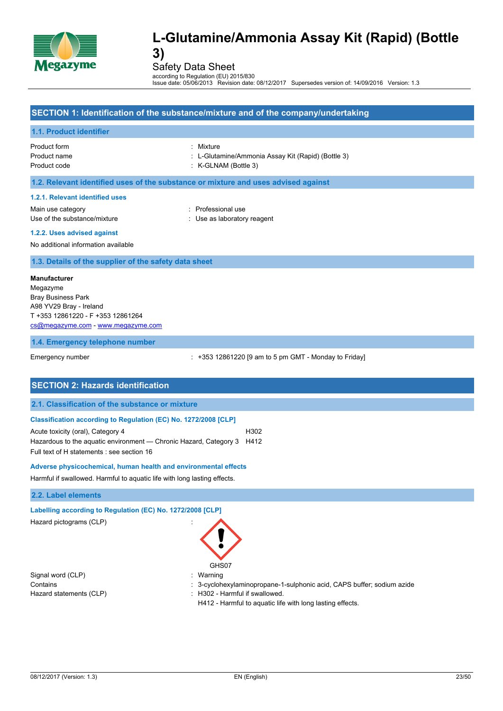

Safety Data Sheet

according to Regulation (EU) 2015/830 Issue date: 05/06/2013 Revision date: 08/12/2017 Supersedes version of: 14/09/2016 Version: 1.3

### **SECTION 1: Identification of the substance/mixture and of the company/undertaking**

#### **1.1. Product identifier**

Product form : Mixture

- Product name : L-Glutamine/Ammonia Assay Kit (Rapid) (Bottle 3)
- Product code : K-GLNAM (Bottle 3)

#### **1.2. Relevant identified uses of the substance or mixture and uses advised against**

#### **1.2.1. Relevant identified uses**

Main use category **in the set of the COV** and Main use the Professional use Use of the substance/mixture in the substance/mixture in the substance of the substance in the substance of the substance of the substance of the substance of the substance of the substance of the substance of the substanc

- 
- **1.2.2. Uses advised against**

#### No additional information available

#### **1.3. Details of the supplier of the safety data sheet**

#### **Manufacturer**

Megazyme Bray Business Park A98 YV29 Bray - Ireland T +353 12861220 - F +353 12861264 [cs@megazyme.com](mailto:cs@megazyme.com) - <www.megazyme.com>

#### **1.4. Emergency telephone number**

Emergency number : +353 12861220 [9 am to 5 pm GMT - Monday to Friday]

### **SECTION 2: Hazards identification**

#### **2.1. Classification of the substance or mixture**

#### **Classification according to Regulation (EC) No. 1272/2008 [CLP]**

Acute toxicity (oral), Category 4 H302 Hazardous to the aquatic environment — Chronic Hazard, Category 3 H412 Full text of H statements : see section 16

#### **Adverse physicochemical, human health and environmental effects**

Harmful if swallowed. Harmful to aquatic life with long lasting effects.

#### **2.2. Label elements**

# **Labelling according to Regulation (EC) No. 1272/2008 [CLP]**

Hazard pictograms (CLP) :

Signal word (CLP) : Warning



- Contains : 3-cyclohexylaminopropane-1-sulphonic acid, CAPS buffer; sodium azide Hazard statements (CLP) : H302 - Harmful if swallowed.
	- H412 Harmful to aquatic life with long lasting effects.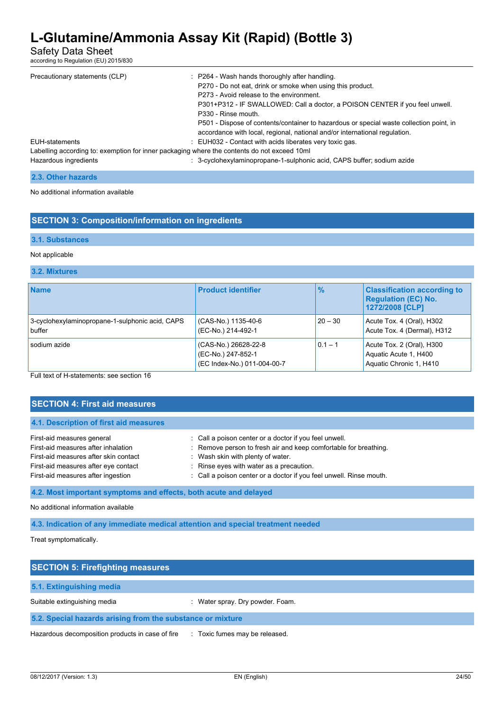Safety Data Sheet

according to Regulation (EU) 2015/830

| Precautionary statements (CLP)                                                              | : P264 - Wash hands thoroughly after handling.                                          |
|---------------------------------------------------------------------------------------------|-----------------------------------------------------------------------------------------|
|                                                                                             | P270 - Do not eat, drink or smoke when using this product.                              |
|                                                                                             | P273 - Avoid release to the environment.                                                |
|                                                                                             | P301+P312 - IF SWALLOWED: Call a doctor, a POISON CENTER if you feel unwell.            |
|                                                                                             | P330 - Rinse mouth.                                                                     |
|                                                                                             | P501 - Dispose of contents/container to hazardous or special waste collection point, in |
|                                                                                             | accordance with local, regional, national and/or international regulation.              |
| EUH-statements                                                                              | : EUH032 - Contact with acids liberates very toxic gas.                                 |
| Labelling according to: exemption for inner packaging where the contents do not exceed 10ml |                                                                                         |
| Hazardous ingredients                                                                       | : 3-cyclohexylaminopropane-1-sulphonic acid, CAPS buffer: sodium azide                  |
|                                                                                             |                                                                                         |

| 2.3. Other hazards |  |
|--------------------|--|
|--------------------|--|

No additional information available

### **SECTION 3: Composition/information on ingredients**

#### **3.1. Substances**

#### Not applicable

#### **3.2. Mixtures**

| <b>Name</b>                                               | <b>Product identifier</b>                                                 | $\frac{9}{6}$ | <b>Classification according to</b><br><b>Regulation (EC) No.</b><br>1272/2008 [CLP] |
|-----------------------------------------------------------|---------------------------------------------------------------------------|---------------|-------------------------------------------------------------------------------------|
| 3-cyclohexylaminopropane-1-sulphonic acid, CAPS<br>buffer | (CAS-No.) 1135-40-6<br>(EC-No.) 214-492-1                                 | $20 - 30$     | Acute Tox. 4 (Oral), H302<br>Acute Tox. 4 (Dermal), H312                            |
| sodium azide                                              | (CAS-No.) 26628-22-8<br>(EC-No.) 247-852-1<br>(EC Index-No.) 011-004-00-7 | $0.1 - 1$     | Acute Tox. 2 (Oral), H300<br>Aquatic Acute 1, H400<br>Aquatic Chronic 1, H410       |

Full text of H-statements: see section 16

| <b>SECTION 4: First aid measures</b>                                                                                                                                                     |                                                                                                                                                                                                                                                                                    |  |
|------------------------------------------------------------------------------------------------------------------------------------------------------------------------------------------|------------------------------------------------------------------------------------------------------------------------------------------------------------------------------------------------------------------------------------------------------------------------------------|--|
| 4.1. Description of first aid measures                                                                                                                                                   |                                                                                                                                                                                                                                                                                    |  |
| First-aid measures general<br>First-aid measures after inhalation<br>First-aid measures after skin contact<br>First-aid measures after eye contact<br>First-aid measures after ingestion | : Call a poison center or a doctor if you feel unwell.<br>: Remove person to fresh air and keep comfortable for breathing.<br>: Wash skin with plenty of water.<br>: Rinse eyes with water as a precaution.<br>: Call a poison center or a doctor if you feel unwell. Rinse mouth. |  |
| 4.2. Most important symptoms and effects, both acute and delayed                                                                                                                         |                                                                                                                                                                                                                                                                                    |  |

#### No additional information available

**4.3. Indication of any immediate medical attention and special treatment needed**

Treat symptomatically.

| <b>SECTION 5: Firefighting measures</b>                    |                                        |  |
|------------------------------------------------------------|----------------------------------------|--|
| 5.1. Extinguishing media                                   |                                        |  |
| Suitable extinguishing media                               | : Water spray. Dry powder. Foam.       |  |
| 5.2. Special hazards arising from the substance or mixture |                                        |  |
| Hazardous decomposition products in case of fire           | Toxic fumes may be released.<br>in the |  |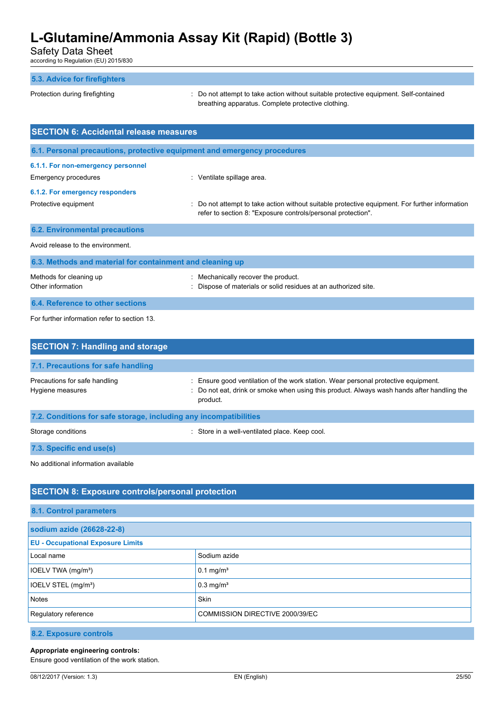Safety Data Sheet

according to Regulation (EU) 2015/830

#### **5.3. Advice for firefighters**

Protection during firefighting  $\cdot$  Do not attempt to take action without suitable protective equipment. Self-contained breathing apparatus. Complete protective clothing.

| <b>SECTION 6: Accidental release measures</b>             |                                                                                                                                                                |  |  |
|-----------------------------------------------------------|----------------------------------------------------------------------------------------------------------------------------------------------------------------|--|--|
|                                                           | 6.1. Personal precautions, protective equipment and emergency procedures                                                                                       |  |  |
| 6.1.1. For non-emergency personnel                        |                                                                                                                                                                |  |  |
| <b>Emergency procedures</b>                               | : Ventilate spillage area.                                                                                                                                     |  |  |
| 6.1.2. For emergency responders                           |                                                                                                                                                                |  |  |
| Protective equipment                                      | : Do not attempt to take action without suitable protective equipment. For further information<br>refer to section 8: "Exposure controls/personal protection". |  |  |
| <b>6.2. Environmental precautions</b>                     |                                                                                                                                                                |  |  |
| Avoid release to the environment.                         |                                                                                                                                                                |  |  |
| 6.3. Methods and material for containment and cleaning up |                                                                                                                                                                |  |  |

| Methods for cleaning up          | : Mechanically recover the product.                             |
|----------------------------------|-----------------------------------------------------------------|
| Other information                | : Dispose of materials or solid residues at an authorized site. |
| 6.4. Reference to other sections |                                                                 |

For further information refer to section 13.

| <b>SECTION 7: Handling and storage</b>                            |                                                                                                                                                                                              |  |  |  |
|-------------------------------------------------------------------|----------------------------------------------------------------------------------------------------------------------------------------------------------------------------------------------|--|--|--|
| 7.1. Precautions for safe handling                                |                                                                                                                                                                                              |  |  |  |
| Precautions for safe handling<br>Hygiene measures                 | : Ensure good ventilation of the work station. Wear personal protective equipment.<br>: Do not eat, drink or smoke when using this product. Always wash hands after handling the<br>product. |  |  |  |
| 7.2. Conditions for safe storage, including any incompatibilities |                                                                                                                                                                                              |  |  |  |
| Storage conditions                                                | Store in a well-ventilated place. Keep cool.                                                                                                                                                 |  |  |  |
| 7.3. Specific end use(s)                                          |                                                                                                                                                                                              |  |  |  |

No additional information available

# **SECTION 8: Exposure controls/personal protection**

| 8.1. Control parameters                  |                                 |  |
|------------------------------------------|---------------------------------|--|
| sodium azide (26628-22-8)                |                                 |  |
| <b>EU - Occupational Exposure Limits</b> |                                 |  |
| Local name                               | Sodium azide                    |  |
| IOELV TWA (mg/m <sup>3</sup> )           | $0.1 \text{ mg/m}^3$            |  |
| IOELV STEL (mg/m <sup>3</sup> )          | $0.3$ mg/m <sup>3</sup>         |  |
| <b>Notes</b>                             | Skin                            |  |
| Regulatory reference                     | COMMISSION DIRECTIVE 2000/39/EC |  |
|                                          |                                 |  |

**8.2. Exposure controls**

### **Appropriate engineering controls:**

Ensure good ventilation of the work station.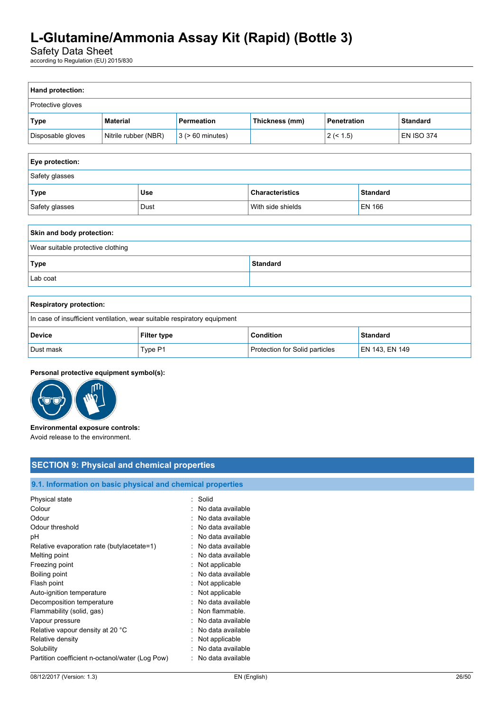Safety Data Sheet

according to Regulation (EU) 2015/830

| Hand protection:                  |                      |      |                       |                                           |                                |        |                   |
|-----------------------------------|----------------------|------|-----------------------|-------------------------------------------|--------------------------------|--------|-------------------|
| Protective gloves                 |                      |      |                       |                                           |                                |        |                   |
| <b>Type</b>                       | <b>Material</b>      |      | Permeation            | Thickness (mm)                            | Penetration<br><b>Standard</b> |        |                   |
| Disposable gloves                 | Nitrile rubber (NBR) |      | $3$ ( $> 60$ minutes) |                                           | 2 (< 1.5)                      |        | <b>EN ISO 374</b> |
|                                   |                      |      |                       |                                           |                                |        |                   |
| Eye protection:                   |                      |      |                       |                                           |                                |        |                   |
| Safety glasses                    |                      |      |                       |                                           |                                |        |                   |
| Type                              |                      | Use  |                       | <b>Characteristics</b><br><b>Standard</b> |                                |        |                   |
| Safety glasses                    |                      | Dust |                       | With side shields                         |                                | EN 166 |                   |
|                                   |                      |      |                       |                                           |                                |        |                   |
| Skin and body protection:         |                      |      |                       |                                           |                                |        |                   |
| Wear suitable protective clothing |                      |      |                       |                                           |                                |        |                   |
| <b>Standard</b><br><b>Type</b>    |                      |      |                       |                                           |                                |        |                   |
| Lab coat                          |                      |      |                       |                                           |                                |        |                   |
|                                   |                      |      |                       |                                           |                                |        |                   |

| <b>Respiratory protection:</b>                                           |                    |                                |                |
|--------------------------------------------------------------------------|--------------------|--------------------------------|----------------|
| In case of insufficient ventilation, wear suitable respiratory equipment |                    |                                |                |
| <b>Device</b>                                                            | <b>Filter type</b> | Condition                      | Standard       |
| Dust mask                                                                | Type P1            | Protection for Solid particles | EN 143, EN 149 |

### **Personal protective equipment symbol(s):**



**Environmental exposure controls:** Avoid release to the environment.

# **SECTION 9: Physical and chemical properties**

# **9.1. Information on basic physical and chemical properties**

| Physical state                                  | : Solid           |
|-------------------------------------------------|-------------------|
| Colour                                          | No data available |
| Odour                                           | No data available |
| Odour threshold                                 | No data available |
| рH                                              | No data available |
| Relative evaporation rate (butylacetate=1)      | No data available |
| Melting point                                   | No data available |
| Freezing point                                  | Not applicable    |
| Boiling point                                   | No data available |
| Flash point                                     | Not applicable    |
| Auto-ignition temperature                       | Not applicable    |
| Decomposition temperature                       | No data available |
| Flammability (solid, gas)                       | Non flammable.    |
| Vapour pressure                                 | No data available |
| Relative vapour density at 20 °C                | No data available |
| Relative density                                | Not applicable    |
| Solubility                                      | No data available |
| Partition coefficient n-octanol/water (Log Pow) | No data available |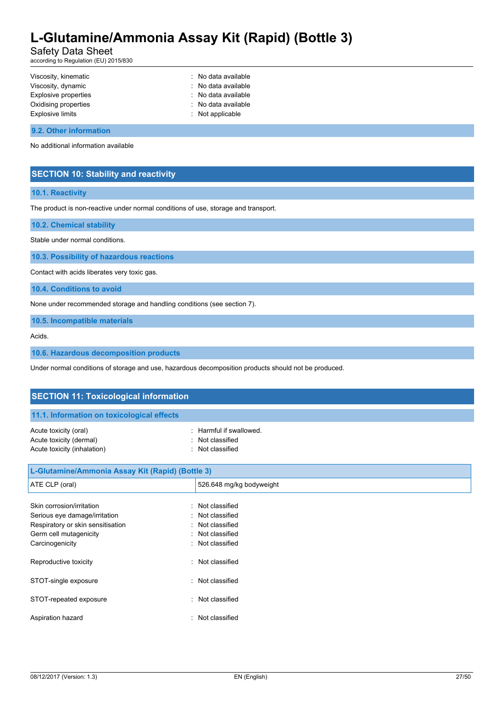# Safety Data Sheet

according to Regulation (EU) 2015/830

| Viscosity, kinematic    | : No data available |
|-------------------------|---------------------|
| Viscosity, dynamic      | : No data available |
| Explosive properties    | : No data available |
| Oxidising properties    | : No data available |
| <b>Explosive limits</b> | : Not applicable    |
|                         |                     |

#### **9.2. Other information**

No additional information available

### **SECTION 10: Stability and reactivity**

#### **10.1. Reactivity**

The product is non-reactive under normal conditions of use, storage and transport.

**10.2. Chemical stability**

Stable under normal conditions.

**10.3. Possibility of hazardous reactions**

Contact with acids liberates very toxic gas.

**10.4. Conditions to avoid**

None under recommended storage and handling conditions (see section 7).

**10.5. Incompatible materials**

Acids.

**10.6. Hazardous decomposition products**

Under normal conditions of storage and use, hazardous decomposition products should not be produced.

| <b>SECTION 11: Toxicological information</b>                                                                                                                |                                                                                        |  |  |
|-------------------------------------------------------------------------------------------------------------------------------------------------------------|----------------------------------------------------------------------------------------|--|--|
|                                                                                                                                                             |                                                                                        |  |  |
| 11.1. Information on toxicological effects                                                                                                                  |                                                                                        |  |  |
| Acute toxicity (oral)<br>٠<br>Acute toxicity (dermal)<br>Acute toxicity (inhalation)                                                                        | Harmful if swallowed.<br>Not classified<br>Not classified                              |  |  |
| L-Glutamine/Ammonia Assay Kit (Rapid) (Bottle 3)                                                                                                            |                                                                                        |  |  |
| ATE CLP (oral)                                                                                                                                              | 526.648 mg/kg bodyweight                                                               |  |  |
| Skin corrosion/irritation<br>٠<br>Serious eye damage/irritation<br>Respiratory or skin sensitisation<br>٠<br>Germ cell mutagenicity<br>٠<br>Carcinogenicity | Not classified<br>Not classified<br>Not classified<br>Not classified<br>Not classified |  |  |
| Reproductive toxicity<br>٠                                                                                                                                  | Not classified                                                                         |  |  |
| STOT-single exposure<br>٠                                                                                                                                   | Not classified                                                                         |  |  |

STOT-repeated exposure in the state of the STOT-repeated exposure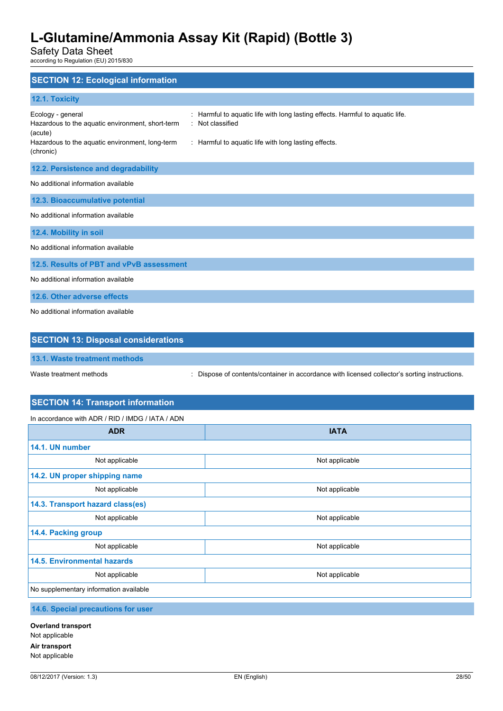Safety Data Sheet

according to Regulation (EU) 2015/830

| <b>SECTION 12: Ecological information</b>                                                                                                                                                                                                                                                                        |
|------------------------------------------------------------------------------------------------------------------------------------------------------------------------------------------------------------------------------------------------------------------------------------------------------------------|
| 12.1. Toxicity                                                                                                                                                                                                                                                                                                   |
| : Harmful to aquatic life with long lasting effects. Harmful to aquatic life.<br>Ecology - general<br>Not classified<br>Hazardous to the aquatic environment, short-term<br>÷<br>(acute)<br>Hazardous to the aquatic environment, long-term<br>: Harmful to aquatic life with long lasting effects.<br>(chronic) |
| 12.2. Persistence and degradability                                                                                                                                                                                                                                                                              |
| No additional information available                                                                                                                                                                                                                                                                              |
| 12.3. Bioaccumulative potential                                                                                                                                                                                                                                                                                  |
| No additional information available                                                                                                                                                                                                                                                                              |
| 12.4. Mobility in soil                                                                                                                                                                                                                                                                                           |
| No additional information available                                                                                                                                                                                                                                                                              |
| 12.5. Results of PBT and vPvB assessment                                                                                                                                                                                                                                                                         |
| No additional information available                                                                                                                                                                                                                                                                              |
| 12.6. Other adverse effects                                                                                                                                                                                                                                                                                      |
| No additional information available                                                                                                                                                                                                                                                                              |

| <b>SECTION 13: Disposal considerations</b> |                                                                                             |  |  |
|--------------------------------------------|---------------------------------------------------------------------------------------------|--|--|
| 13.1. Waste treatment methods              |                                                                                             |  |  |
| Waste treatment methods                    | Dispose of contents/container in accordance with licensed collector's sorting instructions. |  |  |

# **SECTION 14: Transport information**

In accordance with ADR / RID / IMDG / IATA / ADN

| <b>ADR</b>                             | <b>IATA</b>    |  |  |
|----------------------------------------|----------------|--|--|
| 14.1. UN number                        |                |  |  |
| Not applicable                         | Not applicable |  |  |
| 14.2. UN proper shipping name          |                |  |  |
| Not applicable                         | Not applicable |  |  |
| 14.3. Transport hazard class(es)       |                |  |  |
| Not applicable                         | Not applicable |  |  |
| 14.4. Packing group                    |                |  |  |
| Not applicable                         | Not applicable |  |  |
| <b>14.5. Environmental hazards</b>     |                |  |  |
| Not applicable                         | Not applicable |  |  |
| No supplementary information available |                |  |  |

### **14.6. Special precautions for user**

**Overland transport** Not applicable **Air transport** Not applicable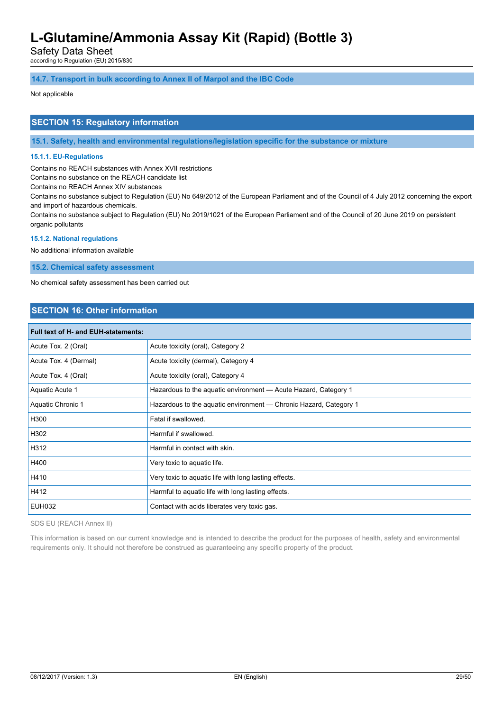Safety Data Sheet

according to Regulation (EU) 2015/830

#### **14.7. Transport in bulk according to Annex II of Marpol and the IBC Code**

#### Not applicable

### **SECTION 15: Regulatory information**

**15.1. Safety, health and environmental regulations/legislation specific for the substance or mixture**

#### **15.1.1. EU-Regulations**

Contains no REACH substances with Annex XVII restrictions

Contains no substance on the REACH candidate list

Contains no REACH Annex XIV substances

Contains no substance subject to Regulation (EU) No 649/2012 of the European Parliament and of the Council of 4 July 2012 concerning the export and import of hazardous chemicals.

Contains no substance subject to Regulation (EU) No 2019/1021 of the European Parliament and of the Council of 20 June 2019 on persistent organic pollutants

#### **15.1.2. National regulations**

No additional information available

**15.2. Chemical safety assessment**

No chemical safety assessment has been carried out

# **SECTION 16: Other information**

| <b>Full text of H- and EUH-statements:</b> |                                                                   |  |
|--------------------------------------------|-------------------------------------------------------------------|--|
| Acute Tox. 2 (Oral)                        | Acute toxicity (oral), Category 2                                 |  |
| Acute Tox. 4 (Dermal)                      | Acute toxicity (dermal), Category 4                               |  |
| Acute Tox. 4 (Oral)                        | Acute toxicity (oral), Category 4                                 |  |
| Aquatic Acute 1                            | Hazardous to the aquatic environment - Acute Hazard, Category 1   |  |
| <b>Aquatic Chronic 1</b>                   | Hazardous to the aquatic environment — Chronic Hazard, Category 1 |  |
| H300                                       | Fatal if swallowed.                                               |  |
| H302                                       | Harmful if swallowed.                                             |  |
| H312                                       | Harmful in contact with skin.                                     |  |
| H400                                       | Very toxic to aquatic life.                                       |  |
| H410                                       | Very toxic to aquatic life with long lasting effects.             |  |
| H412                                       | Harmful to aquatic life with long lasting effects.                |  |
| <b>EUH032</b>                              | Contact with acids liberates very toxic gas.                      |  |

SDS EU (REACH Annex II)

This information is based on our current knowledge and is intended to describe the product for the purposes of health, safety and environmental requirements only. It should not therefore be construed as guaranteeing any specific property of the product.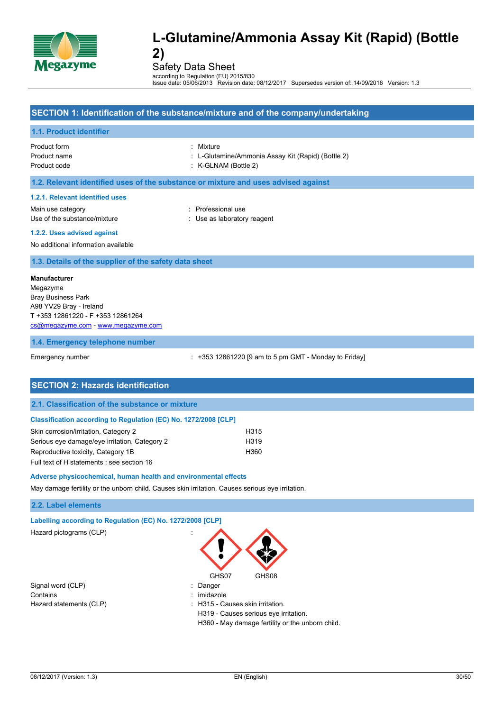

Safety Data Sheet

according to Regulation (EU) 2015/830 Issue date: 05/06/2013 Revision date: 08/12/2017 Supersedes version of: 14/09/2016 Version: 1.3

### **SECTION 1: Identification of the substance/mixture and of the company/undertaking**

#### **1.1. Product identifier**

Product form : Mixture

- Product name : L-Glutamine/Ammonia Assay Kit (Rapid) (Bottle 2)
- Product code : K-GLNAM (Bottle 2)

#### **1.2. Relevant identified uses of the substance or mixture and uses advised against**

#### **1.2.1. Relevant identified uses**

Main use category **in the set of the COV** and Main use the Professional use Use of the substance/mixture in the substance/mixture in the substance of the substance in the substance of the substance of the substance of the substance of the substance of the substance of the substance of the substanc

### **1.2.2. Uses advised against**

No additional information available

#### **1.3. Details of the supplier of the safety data sheet**

#### **Manufacturer**

Megazyme Bray Business Park A98 YV29 Bray - Ireland T +353 12861220 - F +353 12861264 [cs@megazyme.com](mailto:cs@megazyme.com) - <www.megazyme.com>

#### **1.4. Emergency telephone number**

Emergency number : +353 12861220 [9 am to 5 pm GMT - Monday to Friday]

| <b>SECTION 2: Hazards identification</b>                               |      |  |
|------------------------------------------------------------------------|------|--|
| 2.1. Classification of the substance or mixture                        |      |  |
| <b>Classification according to Regulation (EC) No. 1272/2008 [CLP]</b> |      |  |
| Skin corrosion/irritation, Category 2                                  | H315 |  |
| Serious eye damage/eye irritation, Category 2                          | H319 |  |
| Reproductive toxicity, Category 1B                                     | H360 |  |
| Full text of H statements : see section 16                             |      |  |

#### **Adverse physicochemical, human health and environmental effects**

May damage fertility or the unborn child. Causes skin irritation. Causes serious eye irritation.

#### **2.2. Label elements**

| Labelling according to Regulation (EC) No. 1272/2008 [CLP] |                                                  |
|------------------------------------------------------------|--------------------------------------------------|
| Hazard pictograms (CLP)                                    |                                                  |
|                                                            | GHS07<br>GHS08                                   |
| Signal word (CLP)                                          | Danger                                           |
| Contains                                                   | imidazole                                        |
| Hazard statements (CLP)                                    | : H315 - Causes skin irritation.                 |
|                                                            | H319 - Causes serious eye irritation.            |
|                                                            | H360 - May damage fertility or the unborn child. |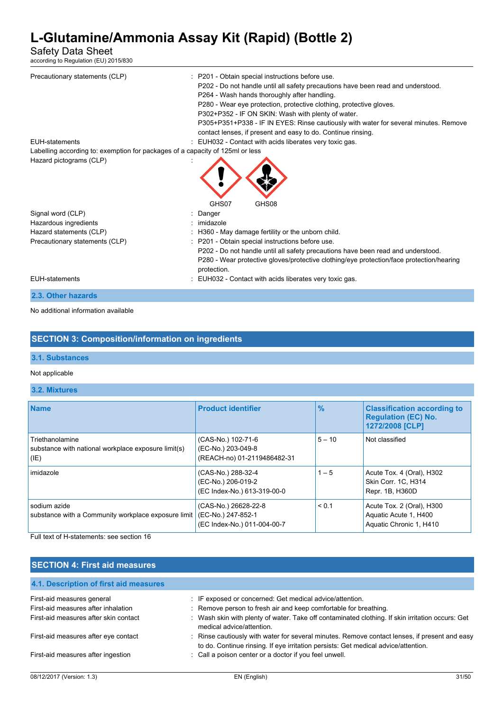# Safety Data Sheet

according to Regulation (EU) 2015/830

| Precautionary statements (CLP)<br><b>EUH-statements</b>                       | : P201 - Obtain special instructions before use.<br>P202 - Do not handle until all safety precautions have been read and understood.<br>P264 - Wash hands thoroughly after handling.<br>P280 - Wear eye protection, protective clothing, protective gloves.<br>P302+P352 - IF ON SKIN: Wash with plenty of water.<br>P305+P351+P338 - IF IN EYES: Rinse cautiously with water for several minutes. Remove<br>contact lenses, if present and easy to do. Continue rinsing.<br>: EUH032 - Contact with acids liberates very toxic gas. |
|-------------------------------------------------------------------------------|--------------------------------------------------------------------------------------------------------------------------------------------------------------------------------------------------------------------------------------------------------------------------------------------------------------------------------------------------------------------------------------------------------------------------------------------------------------------------------------------------------------------------------------|
| Labelling according to: exemption for packages of a capacity of 125ml or less |                                                                                                                                                                                                                                                                                                                                                                                                                                                                                                                                      |
| Hazard pictograms (CLP)                                                       | GHS07<br>GHS08                                                                                                                                                                                                                                                                                                                                                                                                                                                                                                                       |
|                                                                               |                                                                                                                                                                                                                                                                                                                                                                                                                                                                                                                                      |
| Signal word (CLP)                                                             | : Danger                                                                                                                                                                                                                                                                                                                                                                                                                                                                                                                             |
| Hazardous ingredients                                                         | : imidazole                                                                                                                                                                                                                                                                                                                                                                                                                                                                                                                          |
| Hazard statements (CLP)                                                       | : H360 - May damage fertility or the unborn child.                                                                                                                                                                                                                                                                                                                                                                                                                                                                                   |
| Precautionary statements (CLP)                                                | : P201 - Obtain special instructions before use.<br>P202 - Do not handle until all safety precautions have been read and understood.<br>P280 - Wear protective gloves/protective clothing/eye protection/face protection/hearing<br>protection.                                                                                                                                                                                                                                                                                      |
| <b>EUH-statements</b>                                                         | : EUH032 - Contact with acids liberates very toxic gas.                                                                                                                                                                                                                                                                                                                                                                                                                                                                              |
| 2.3. Other hazards                                                            |                                                                                                                                                                                                                                                                                                                                                                                                                                                                                                                                      |
|                                                                               |                                                                                                                                                                                                                                                                                                                                                                                                                                                                                                                                      |

No additional information available

# **SECTION 3: Composition/information on ingredients**

# **3.1. Substances**

#### Not applicable

### **3.2. Mixtures**

| <b>Name</b>                                                                    | <b>Product identifier</b>                                                 | $\frac{9}{6}$ | <b>Classification according to</b><br><b>Regulation (EC) No.</b><br>1272/2008 [CLP] |
|--------------------------------------------------------------------------------|---------------------------------------------------------------------------|---------------|-------------------------------------------------------------------------------------|
| Triethanolamine<br>substance with national workplace exposure limit(s)<br>(IE) | (CAS-No.) 102-71-6<br>(EC-No.) 203-049-8<br>(REACH-no) 01-2119486482-31   | $5 - 10$      | Not classified                                                                      |
| imidazole                                                                      | (CAS-No.) 288-32-4<br>(EC-No.) 206-019-2<br>(EC Index-No.) 613-319-00-0   | $1 - 5$       | Acute Tox. 4 (Oral), H302<br>Skin Corr. 1C, H314<br>Repr. 1B, H360D                 |
| sodium azide<br>substance with a Community workplace exposure limit            | (CAS-No.) 26628-22-8<br>(EC-No.) 247-852-1<br>(EC Index-No.) 011-004-00-7 | < 0.1         | Acute Tox. 2 (Oral), H300<br>Aquatic Acute 1, H400<br>Aquatic Chronic 1, H410       |

Full text of H-statements: see section 16

# **SECTION 4: First aid measures**

| 4.1. Description of first aid measures |                                                                                                                                                                                     |       |
|----------------------------------------|-------------------------------------------------------------------------------------------------------------------------------------------------------------------------------------|-------|
| First-aid measures general             | : IF exposed or concerned: Get medical advice/attention.                                                                                                                            |       |
| First-aid measures after inhalation    | : Remove person to fresh air and keep comfortable for breathing.                                                                                                                    |       |
| First-aid measures after skin contact  | : Wash skin with plenty of water. Take off contaminated clothing. If skin irritation occurs: Get<br>medical advice/attention.                                                       |       |
| First-aid measures after eye contact   | : Rinse cautiously with water for several minutes. Remove contact lenses, if present and easy<br>to do. Continue rinsing. If eye irritation persists: Get medical advice/attention. |       |
| First-aid measures after ingestion     | : Call a poison center or a doctor if you feel unwell.                                                                                                                              |       |
| 08/12/2017 (Version: 1.3)              | EN (English)                                                                                                                                                                        | 31/50 |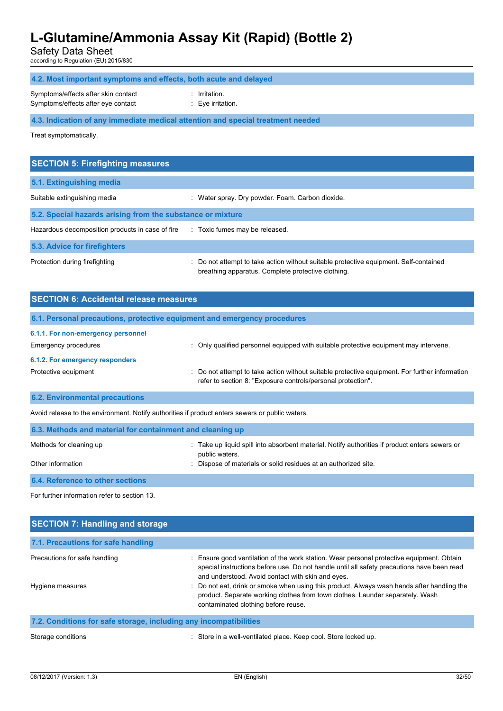Safety Data Sheet

according to Regulation (EU) 2015/830

| 4.2. Most important symptoms and effects, both acute and delayed                |                                                  |  |  |
|---------------------------------------------------------------------------------|--------------------------------------------------|--|--|
| Symptoms/effects after skin contact<br>Symptoms/effects after eye contact       | $:$ Irritation.<br>$\therefore$ Eve irritation.  |  |  |
| 4.3. Indication of any immediate medical attention and special treatment needed |                                                  |  |  |
| Treat symptomatically.                                                          |                                                  |  |  |
|                                                                                 |                                                  |  |  |
|                                                                                 |                                                  |  |  |
| <b>SECTION 5: Firefighting measures</b>                                         |                                                  |  |  |
| 5.1. Extinguishing media                                                        |                                                  |  |  |
| Suitable extinguishing media                                                    | : Water spray. Dry powder. Foam. Carbon dioxide. |  |  |
| 5.2. Special hazards arising from the substance or mixture                      |                                                  |  |  |

**5.3. Advice for firefighters**

Protection during firefighting  $\qquad \qquad \qquad$ : Do not attempt to take action without suitable protective equipment. Self-contained breathing apparatus. Complete protective clothing.

| <b>SECTION 6: Accidental release measures</b>                            |                                                                                                                                                                |  |
|--------------------------------------------------------------------------|----------------------------------------------------------------------------------------------------------------------------------------------------------------|--|
| 6.1. Personal precautions, protective equipment and emergency procedures |                                                                                                                                                                |  |
| 6.1.1. For non-emergency personnel                                       |                                                                                                                                                                |  |
| Emergency procedures                                                     | : Only qualified personnel equipped with suitable protective equipment may intervene.                                                                          |  |
| 6.1.2. For emergency responders                                          |                                                                                                                                                                |  |
| Protective equipment                                                     | : Do not attempt to take action without suitable protective equipment. For further information<br>refer to section 8: "Exposure controls/personal protection". |  |

#### **6.2. Environmental precautions**

Avoid release to the environment. Notify authorities if product enters sewers or public waters.

| 6.3. Methods and material for containment and cleaning up |                                                                                                                  |  |  |
|-----------------------------------------------------------|------------------------------------------------------------------------------------------------------------------|--|--|
| Methods for cleaning up                                   | : Take up liquid spill into absorbent material. Notify authorities if product enters sewers or<br>public waters. |  |  |
| Other information                                         | : Dispose of materials or solid residues at an authorized site.                                                  |  |  |
| 6.4. Reference to other sections                          |                                                                                                                  |  |  |

For further information refer to section 13.

| <b>SECTION 7: Handling and storage</b>                            |                                                                                                                                                                                                                                                                                                                                                                                                                                                                    |
|-------------------------------------------------------------------|--------------------------------------------------------------------------------------------------------------------------------------------------------------------------------------------------------------------------------------------------------------------------------------------------------------------------------------------------------------------------------------------------------------------------------------------------------------------|
| 7.1. Precautions for safe handling                                |                                                                                                                                                                                                                                                                                                                                                                                                                                                                    |
| Precautions for safe handling<br>Hygiene measures                 | : Ensure good ventilation of the work station. Wear personal protective equipment. Obtain<br>special instructions before use. Do not handle until all safety precautions have been read<br>and understood. Avoid contact with skin and eyes.<br>: Do not eat, drink or smoke when using this product. Always wash hands after handling the<br>product. Separate working clothes from town clothes. Launder separately. Wash<br>contaminated clothing before reuse. |
| 7.2. Conditions for safe storage, including any incompatibilities |                                                                                                                                                                                                                                                                                                                                                                                                                                                                    |

Storage conditions **in a metally conditions** : Store in a well-ventilated place. Keep cool. Store locked up.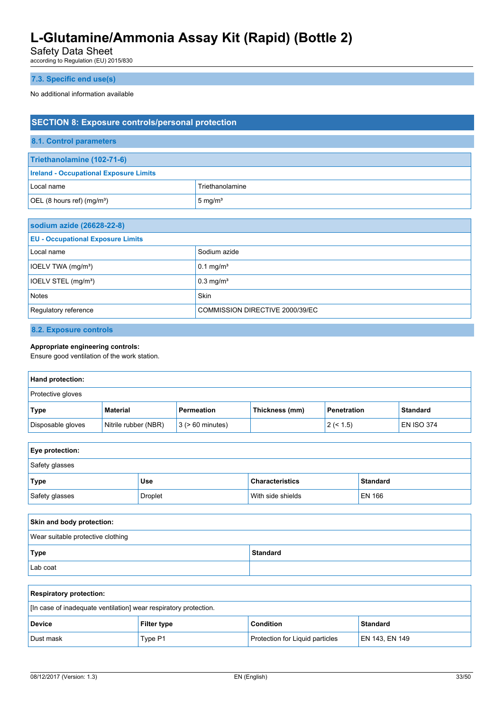Safety Data Sheet

according to Regulation (EU) 2015/830

### **7.3. Specific end use(s)**

No additional information available

| <b>SECTION 8: Exposure controls/personal protection</b> |                    |  |
|---------------------------------------------------------|--------------------|--|
| 8.1. Control parameters                                 |                    |  |
| Triethanolamine (102-71-6)                              |                    |  |
| <b>Ireland - Occupational Exposure Limits</b>           |                    |  |
| Local name                                              | Triethanolamine    |  |
| OEL (8 hours ref) $(mg/m3)$                             | $5 \text{ mg/m}^3$ |  |
|                                                         |                    |  |
| sodium azide (26628-22-8)                               |                    |  |

| $\sim$                                   |                                 |
|------------------------------------------|---------------------------------|
| <b>EU - Occupational Exposure Limits</b> |                                 |
| Local name                               | Sodium azide                    |
| IOELV TWA (mg/m <sup>3</sup> )           | $0.1 \text{ mg/m}^3$            |
| IOELV STEL (mg/m <sup>3</sup> )          | $0.3 \text{ mg/m}^3$            |
| <b>Notes</b>                             | Skin                            |
| Regulatory reference                     | COMMISSION DIRECTIVE 2000/39/EC |

**8.2. Exposure controls**

# **Appropriate engineering controls:**

Ensure good ventilation of the work station.

| Hand protection:  |                      |                       |                |                    |                 |
|-------------------|----------------------|-----------------------|----------------|--------------------|-----------------|
| Protective gloves |                      |                       |                |                    |                 |
| Type              | <b>Material</b>      | Permeation            | Thickness (mm) | <b>Penetration</b> | <b>Standard</b> |
| Disposable gloves | Nitrile rubber (NBR) | $3$ ( $> 60$ minutes) |                | 2 (< 1.5)          | EN ISO 374      |

| Eye protection: |                |                        |                 |
|-----------------|----------------|------------------------|-----------------|
| Safety glasses  |                |                        |                 |
| Type            | <b>Use</b>     | <b>Characteristics</b> | <b>Standard</b> |
| Safety glasses  | <b>Droplet</b> | With side shields      | EN 166          |
|                 |                |                        |                 |

| Skin and body protection:         |                 |  |
|-----------------------------------|-----------------|--|
| Wear suitable protective clothing |                 |  |
| Type                              | <b>Standard</b> |  |
| Lab coat                          |                 |  |

| <b>Respiratory protection:</b>                                   |                    |                                        |                |
|------------------------------------------------------------------|--------------------|----------------------------------------|----------------|
| [In case of inadequate ventilation] wear respiratory protection. |                    |                                        |                |
| <b>Device</b>                                                    | <b>Filter type</b> | <b>Condition</b>                       | Standard       |
| Dust mask                                                        | Type P1            | <b>Protection for Liguid particles</b> | EN 143, EN 149 |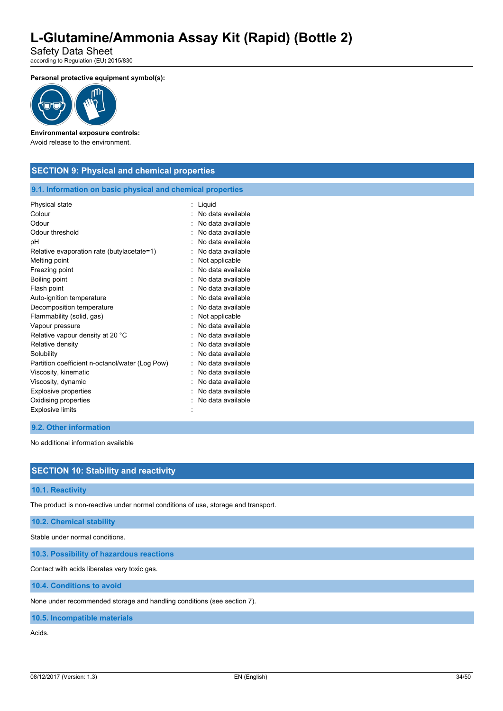Safety Data Sheet according to Regulation (EU) 2015/830

**Personal protective equipment symbol(s):**



### **Environmental exposure controls:**

Avoid release to the environment.

# **SECTION 9: Physical and chemical properties**

#### **9.1. Information on basic physical and chemical properties**

| Physical state                                  | Liquid            |
|-------------------------------------------------|-------------------|
| Colour                                          | No data available |
| Odour                                           | No data available |
| Odour threshold                                 | No data available |
| pH                                              | No data available |
| Relative evaporation rate (butylacetate=1)      | No data available |
| Melting point                                   | Not applicable    |
| Freezing point                                  | No data available |
| Boiling point                                   | No data available |
| Flash point                                     | No data available |
| Auto-ignition temperature                       | No data available |
| Decomposition temperature                       | No data available |
| Flammability (solid, gas)                       | Not applicable    |
| Vapour pressure                                 | No data available |
| Relative vapour density at 20 °C                | No data available |
| Relative density                                | No data available |
| Solubility                                      | No data available |
| Partition coefficient n-octanol/water (Log Pow) | No data available |
| Viscosity, kinematic                            | No data available |
| Viscosity, dynamic                              | No data available |
| <b>Explosive properties</b>                     | No data available |
| Oxidising properties                            | No data available |
| <b>Explosive limits</b>                         |                   |

#### **9.2. Other information**

No additional information available

#### **SECTION 10: Stability and reactivity**

#### **10.1. Reactivity**

The product is non-reactive under normal conditions of use, storage and transport.

#### **10.2. Chemical stability**

Stable under normal conditions.

**10.3. Possibility of hazardous reactions**

Contact with acids liberates very toxic gas.

**10.4. Conditions to avoid**

None under recommended storage and handling conditions (see section 7).

**10.5. Incompatible materials**

Acids.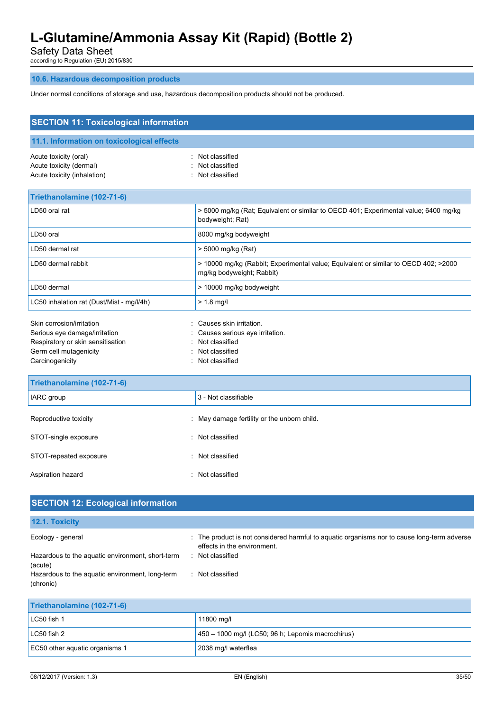Safety Data Sheet

according to Regulation (EU) 2015/830

### **10.6. Hazardous decomposition products**

Under normal conditions of storage and use, hazardous decomposition products should not be produced.

| <b>SECTION 11: Toxicological information</b>                                                                                                 |                                                                                                                  |
|----------------------------------------------------------------------------------------------------------------------------------------------|------------------------------------------------------------------------------------------------------------------|
| 11.1. Information on toxicological effects                                                                                                   |                                                                                                                  |
| Acute toxicity (oral)<br>Acute toxicity (dermal)<br>Acute toxicity (inhalation)                                                              | Not classified<br>Not classified<br>Not classified                                                               |
| Triethanolamine (102-71-6)                                                                                                                   |                                                                                                                  |
| LD50 oral rat                                                                                                                                | > 5000 mg/kg (Rat; Equivalent or similar to OECD 401; Experimental value; 6400 mg/kg<br>bodyweight; Rat)         |
| LD50 oral                                                                                                                                    | 8000 mg/kg bodyweight                                                                                            |
| LD50 dermal rat                                                                                                                              | > 5000 mg/kg (Rat)                                                                                               |
| LD50 dermal rabbit                                                                                                                           | > 10000 mg/kg (Rabbit; Experimental value; Equivalent or similar to OECD 402; >2000<br>mg/kg bodyweight; Rabbit) |
| LD50 dermal                                                                                                                                  | > 10000 mg/kg bodyweight                                                                                         |
| LC50 inhalation rat (Dust/Mist - mg/l/4h)                                                                                                    | $> 1.8$ mg/l                                                                                                     |
| Skin corrosion/irritation<br>Serious eye damage/irritation<br>Respiratory or skin sensitisation<br>Germ cell mutagenicity<br>Carcinogenicity | Causes skin irritation.<br>Causes serious eye irritation.<br>Not classified<br>Not classified<br>Not classified  |
| Triethanolamine (102-71-6)                                                                                                                   |                                                                                                                  |
| IARC group                                                                                                                                   | 3 - Not classifiable                                                                                             |
| Reproductive toxicity                                                                                                                        | May damage fertility or the unborn child.                                                                        |
| STOT-single exposure                                                                                                                         | Not classified                                                                                                   |
| STOT-repeated exposure                                                                                                                       | Not classified                                                                                                   |
| Aspiration hazard                                                                                                                            | : Not classified                                                                                                 |

| <b>SECTION 12: Ecological information</b>                    |                                                                                                                            |
|--------------------------------------------------------------|----------------------------------------------------------------------------------------------------------------------------|
| 12.1. Toxicity                                               |                                                                                                                            |
| Ecology - general                                            | : The product is not considered harmful to aguatic organisms nor to cause long-term adverse<br>effects in the environment. |
| Hazardous to the aquatic environment, short-term<br>(acute)  | : Not classified                                                                                                           |
| Hazardous to the aquatic environment, long-term<br>(chronic) | : Not classified                                                                                                           |
| Triethanolamine (102-71-6)                                   |                                                                                                                            |
| LC50 fish 1                                                  | 11800 mg/l                                                                                                                 |

| 08/12/2017<br>' /Version: | $\sim$<br>.<br>ن. ا | 35/50<br><br>:nalish<br>טטוט<br>. .<br>. |  |
|---------------------------|---------------------|------------------------------------------|--|

LC50 fish 2 450 – 1000 mg/l (LC50; 96 h; Lepomis macrochirus)

EC50 other aquatic organisms 1 2038 mg/l waterflea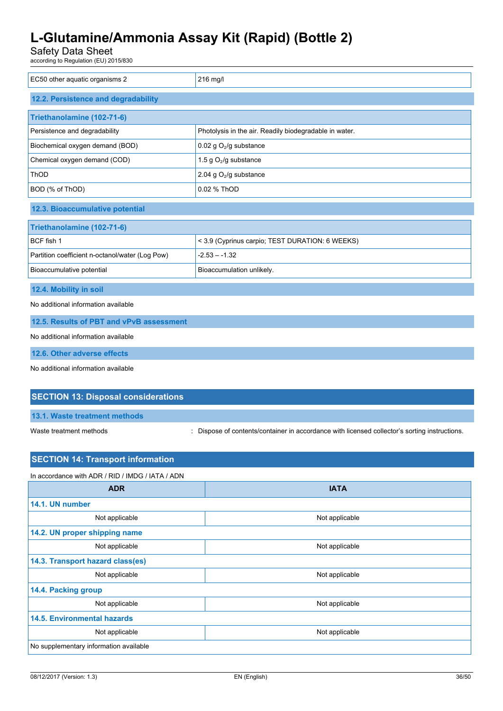Safety Data Sheet

according to Regulation (EU) 2015/830

| EC50 other aquatic organisms 2                  | 216 mg/l                                               |  |
|-------------------------------------------------|--------------------------------------------------------|--|
| 12.2. Persistence and degradability             |                                                        |  |
| Triethanolamine (102-71-6)                      |                                                        |  |
| Persistence and degradability                   | Photolysis in the air. Readily biodegradable in water. |  |
| Biochemical oxygen demand (BOD)                 | 0.02 g $O_2$ /g substance                              |  |
| Chemical oxygen demand (COD)                    | 1.5 g $O_2$ /g substance                               |  |
| ThOD                                            | 2.04 g $O2/g$ substance                                |  |
| BOD (% of ThOD)                                 | 0.02 % ThOD                                            |  |
| 12.3. Bioaccumulative potential                 |                                                        |  |
| Triethanolamine (102-71-6)                      |                                                        |  |
| BCF fish 1                                      | < 3.9 (Cyprinus carpio; TEST DURATION: 6 WEEKS)        |  |
| Partition coefficient n-octanol/water (Log Pow) | $-2.53 - -1.32$                                        |  |
| Bioaccumulative potential                       | Bioaccumulation unlikely.                              |  |
| 12.4. Mobility in soil                          |                                                        |  |
| No additional information available             |                                                        |  |
| 12.5. Results of PBT and vPvB assessment        |                                                        |  |
| No additional information available             |                                                        |  |
| 12.6. Other adverse effects                     |                                                        |  |
| No additional information available             |                                                        |  |
| <b>SECTION 13: Disposal considerations</b>      |                                                        |  |
| 13.1. Waste treatment methods                   |                                                        |  |

Waste treatment methods : Dispose of contents/container in accordance with licensed collector's sorting instructions.

# **SECTION 14: Transport information**

| In accordance with ADR / RID / IMDG / IATA / ADN |                |  |
|--------------------------------------------------|----------------|--|
| <b>ADR</b>                                       | <b>IATA</b>    |  |
| 14.1. UN number                                  |                |  |
| Not applicable                                   | Not applicable |  |
| 14.2. UN proper shipping name                    |                |  |
| Not applicable                                   | Not applicable |  |
| 14.3. Transport hazard class(es)                 |                |  |
| Not applicable                                   | Not applicable |  |
| 14.4. Packing group                              |                |  |
| Not applicable                                   | Not applicable |  |
| <b>14.5. Environmental hazards</b>               |                |  |
| Not applicable                                   | Not applicable |  |
| No supplementary information available           |                |  |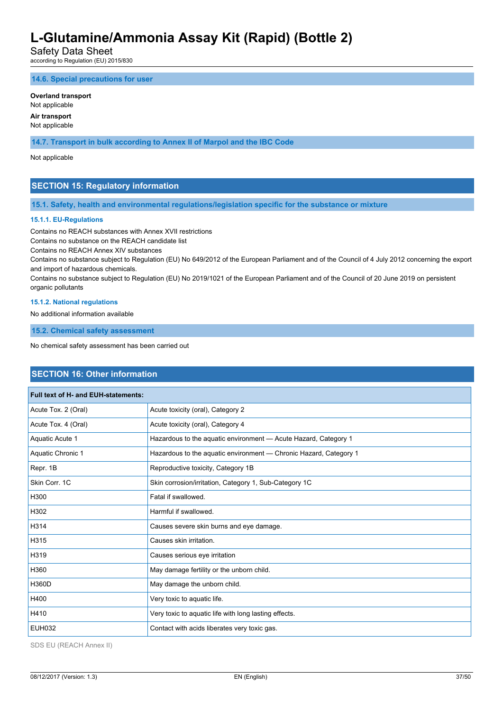Safety Data Sheet

according to Regulation (EU) 2015/830

**14.6. Special precautions for user**

#### **Overland transport**

Not applicable

#### **Air transport** Not applicable

**14.7. Transport in bulk according to Annex II of Marpol and the IBC Code**

Not applicable

# **SECTION 15: Regulatory information**

**15.1. Safety, health and environmental regulations/legislation specific for the substance or mixture**

#### **15.1.1. EU-Regulations**

Contains no REACH substances with Annex XVII restrictions

Contains no substance on the REACH candidate list

Contains no REACH Annex XIV substances

Contains no substance subject to Regulation (EU) No 649/2012 of the European Parliament and of the Council of 4 July 2012 concerning the export and import of hazardous chemicals.

Contains no substance subject to Regulation (EU) No 2019/1021 of the European Parliament and of the Council of 20 June 2019 on persistent organic pollutants

#### **15.1.2. National regulations**

No additional information available

**15.2. Chemical safety assessment**

No chemical safety assessment has been carried out

### **SECTION 16: Other information**

| <b>Full text of H- and EUH-statements:</b> |                                                                   |
|--------------------------------------------|-------------------------------------------------------------------|
| Acute Tox. 2 (Oral)                        | Acute toxicity (oral), Category 2                                 |
| Acute Tox. 4 (Oral)                        | Acute toxicity (oral), Category 4                                 |
| Aquatic Acute 1                            | Hazardous to the aquatic environment - Acute Hazard, Category 1   |
| Aquatic Chronic 1                          | Hazardous to the aquatic environment - Chronic Hazard, Category 1 |
| Repr. 1B                                   | Reproductive toxicity, Category 1B                                |
| Skin Corr. 1C                              | Skin corrosion/irritation, Category 1, Sub-Category 1C            |
| H300                                       | Fatal if swallowed.                                               |
| H302                                       | Harmful if swallowed.                                             |
| H314                                       | Causes severe skin burns and eye damage.                          |
| H315                                       | Causes skin irritation.                                           |
| H319                                       | Causes serious eye irritation                                     |
| H360                                       | May damage fertility or the unborn child.                         |
| <b>H360D</b>                               | May damage the unborn child.                                      |
| H400                                       | Very toxic to aquatic life.                                       |
| H410                                       | Very toxic to aquatic life with long lasting effects.             |
| <b>EUH032</b>                              | Contact with acids liberates very toxic gas.                      |

SDS EU (REACH Annex II)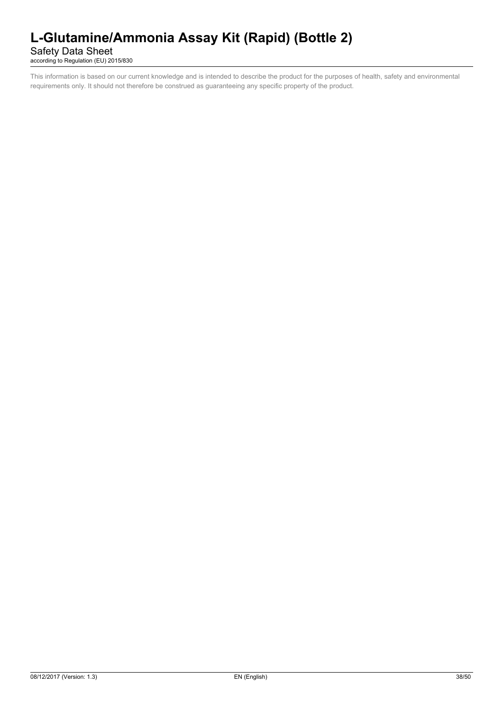# Safety Data Sheet

according to Regulation (EU) 2015/830

This information is based on our current knowledge and is intended to describe the product for the purposes of health, safety and environmental requirements only. It should not therefore be construed as guaranteeing any specific property of the product.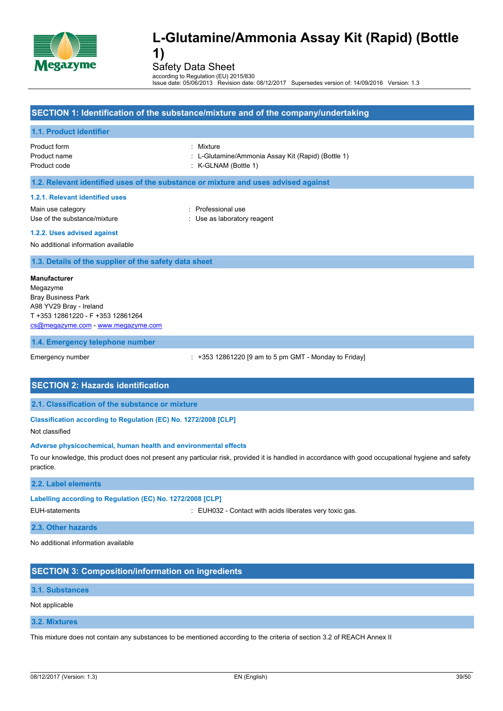

Safety Data Sheet

according to Regulation (EU) 2015/830 Issue date: 05/06/2013 Revision date: 08/12/2017 Supersedes version of: 14/09/2016 Version: 1.3

# **SECTION 1: Identification of the substance/mixture and of the company/undertaking 1.1. Product identifier** Product form : Mixture Product name : L-Glutamine/Ammonia Assay Kit (Rapid) (Bottle 1) Product code : K-GLNAM (Bottle 1) **1.2. Relevant identified uses of the substance or mixture and uses advised against 1.2.1. Relevant identified uses** Main use category **in the set of the COV** and Main use the Professional use Use of the substance/mixture in the substance/mixture in the substance of the substance in the substance of the substance of the substance of the substance of the substance of the substance of the substance of the substanc **1.2.2. Uses advised against** No additional information available **1.3. Details of the supplier of the safety data sheet 1.4. Emergency telephone number** Emergency number : +353 12861220 [9 am to 5 pm GMT - Monday to Friday] **SECTION 2: Hazards identification 2.1. Classification of the substance or mixture Classification according to Regulation (EC) No. 1272/2008 [CLP]** Not classified **Adverse physicochemical, human health and environmental effects** To our knowledge, this product does not present any particular risk, provided it is handled in accordance with good occupational hygiene and safety practice. **2.2. Label elements Labelling according to Regulation (EC) No. 1272/2008 [CLP]** EUH-statements : EUH032 - Contact with acids liberates very toxic gas. **2.3. Other hazards** No additional information available **Manufacturer** Megazyme Bray Business Park A98 YV29 Bray - Ireland T +353 12861220 - F +353 12861264 [cs@megazyme.com](mailto:cs@megazyme.com) - <www.megazyme.com>

# **SECTION 3: Composition/information on ingredients**

#### **3.1. Substances**

#### Not applicable

#### **3.2. Mixtures**

This mixture does not contain any substances to be mentioned according to the criteria of section 3.2 of REACH Annex II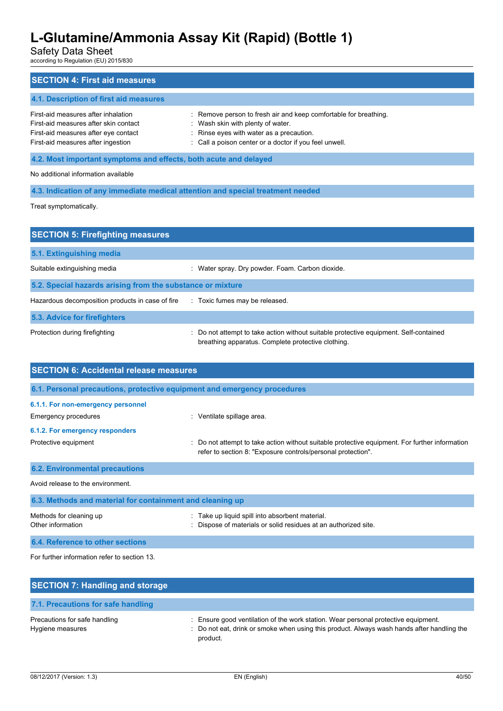Safety Data Sheet

according to Regulation (EU) 2015/830

| <b>SECTION 4: First aid measures</b>                                                                                                                       |                                                                                                                                                                                                             |  |
|------------------------------------------------------------------------------------------------------------------------------------------------------------|-------------------------------------------------------------------------------------------------------------------------------------------------------------------------------------------------------------|--|
| 4.1. Description of first aid measures                                                                                                                     |                                                                                                                                                                                                             |  |
| First-aid measures after inhalation<br>First-aid measures after skin contact<br>First-aid measures after eye contact<br>First-aid measures after ingestion | : Remove person to fresh air and keep comfortable for breathing.<br>: Wash skin with plenty of water.<br>: Rinse eyes with water as a precaution.<br>: Call a poison center or a doctor if you feel unwell. |  |
| 4.2. Most important symptoms and effects, both acute and delayed                                                                                           |                                                                                                                                                                                                             |  |
| No additional information available                                                                                                                        |                                                                                                                                                                                                             |  |
| 4.3. Indication of any immediate medical attention and special treatment needed                                                                            |                                                                                                                                                                                                             |  |
| Treat symptomatically.                                                                                                                                     |                                                                                                                                                                                                             |  |

| <b>SECTION 5: Firefighting measures</b>                    |                                                                                                                                           |  |  |  |
|------------------------------------------------------------|-------------------------------------------------------------------------------------------------------------------------------------------|--|--|--|
| 5.1. Extinguishing media                                   |                                                                                                                                           |  |  |  |
| Suitable extinguishing media                               | : Water spray. Dry powder. Foam. Carbon dioxide.                                                                                          |  |  |  |
| 5.2. Special hazards arising from the substance or mixture |                                                                                                                                           |  |  |  |
| Hazardous decomposition products in case of fire           | : Toxic fumes may be released.                                                                                                            |  |  |  |
| 5.3. Advice for firefighters                               |                                                                                                                                           |  |  |  |
| Protection during firefighting                             | Do not attempt to take action without suitable protective equipment. Self-contained<br>breathing apparatus. Complete protective clothing. |  |  |  |

| <b>SECTION 6: Accidental release measures</b>                            |                                                                                                                                                              |  |
|--------------------------------------------------------------------------|--------------------------------------------------------------------------------------------------------------------------------------------------------------|--|
| 6.1. Personal precautions, protective equipment and emergency procedures |                                                                                                                                                              |  |
| 6.1.1. For non-emergency personnel                                       |                                                                                                                                                              |  |
| Emergency procedures                                                     | : Ventilate spillage area.                                                                                                                                   |  |
| 6.1.2. For emergency responders                                          |                                                                                                                                                              |  |
| Protective equipment                                                     | Do not attempt to take action without suitable protective equipment. For further information<br>refer to section 8: "Exposure controls/personal protection". |  |
| <b>6.2. Environmental precautions</b>                                    |                                                                                                                                                              |  |
| Avoid release to the environment.                                        |                                                                                                                                                              |  |
| 6.3. Methods and material for containment and cleaning up                |                                                                                                                                                              |  |
| Methods for cleaning up<br>Other information                             | Take up liquid spill into absorbent material.<br>Dispose of materials or solid residues at an authorized site.                                               |  |

**6.4. Reference to other sections** For further information refer to section 13.

| <b>SECTION 7: Handling and storage</b>            |                                                                                                                                                                                              |
|---------------------------------------------------|----------------------------------------------------------------------------------------------------------------------------------------------------------------------------------------------|
| 7.1. Precautions for safe handling                |                                                                                                                                                                                              |
| Precautions for safe handling<br>Hygiene measures | : Ensure good ventilation of the work station. Wear personal protective equipment.<br>: Do not eat, drink or smoke when using this product. Always wash hands after handling the<br>product. |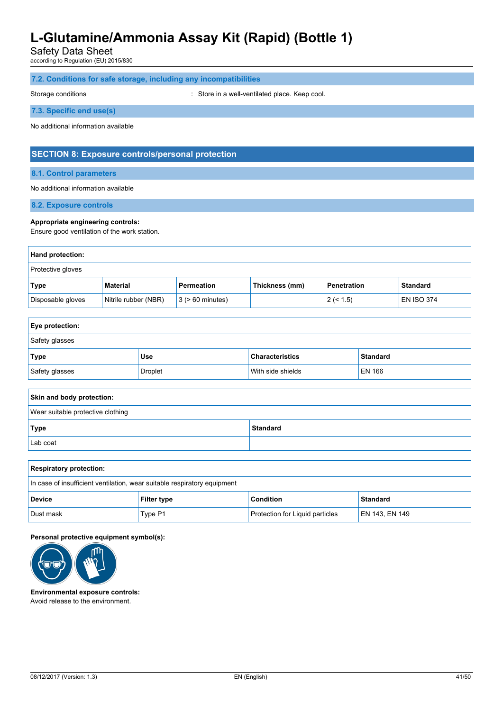Safety Data Sheet

according to Regulation (EU) 2015/830

### **7.2. Conditions for safe storage, including any incompatibilities**

Storage conditions **Storage conditions** : Store in a well-ventilated place. Keep cool.

#### **7.3. Specific end use(s)**

No additional information available

### **SECTION 8: Exposure controls/personal protection**

#### **8.1. Control parameters**

#### No additional information available

**8.2. Exposure controls**

#### **Appropriate engineering controls:**

Ensure good ventilation of the work station.

| <b>Hand protection:</b>  |                      |                       |                |             |                   |
|--------------------------|----------------------|-----------------------|----------------|-------------|-------------------|
| <b>Protective gloves</b> |                      |                       |                |             |                   |
| <b>Type</b>              | Material             | Permeation            | Thickness (mm) | Penetration | <b>Standard</b>   |
| Disposable gloves        | Nitrile rubber (NBR) | $3$ ( $> 60$ minutes) |                | 2 (< 1.5)   | <b>EN ISO 374</b> |

| Eye protection: |            |                        |                 |  |
|-----------------|------------|------------------------|-----------------|--|
| Safety glasses  |            |                        |                 |  |
| Type            | <b>Use</b> | <b>Characteristics</b> | <b>Standard</b> |  |
| Safety glasses  | Droplet    | With side shields      | EN 166          |  |

| Skin and body protection:         |  |  |
|-----------------------------------|--|--|
| Wear suitable protective clothing |  |  |
| Type<br><b>Standard</b>           |  |  |
| Lab coat                          |  |  |

| <b>Respiratory protection:</b>                                           |         |                                        |                 |
|--------------------------------------------------------------------------|---------|----------------------------------------|-----------------|
| In case of insufficient ventilation, wear suitable respiratory equipment |         |                                        |                 |
| <b>Device</b><br><b>Filter type</b>                                      |         | <b>Condition</b>                       | <b>Standard</b> |
| Dust mask                                                                | Type P1 | <b>Protection for Liquid particles</b> | EN 143, EN 149  |

#### **Personal protective equipment symbol(s):**



**Environmental exposure controls:** Avoid release to the environment.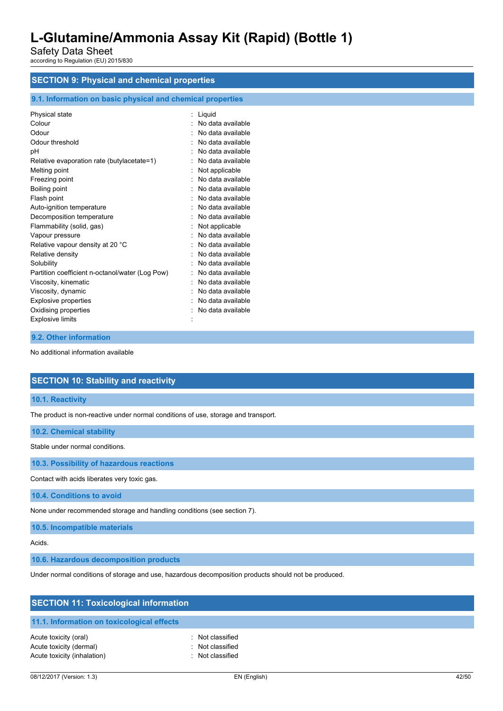Safety Data Sheet according to Regulation (EU) 2015/830

# **SECTION 9: Physical and chemical properties**

### **9.1. Information on basic physical and chemical properties**

| Physical state                                  | : Liquid          |
|-------------------------------------------------|-------------------|
| Colour                                          | No data available |
| Odour                                           | No data available |
| Odour threshold                                 | No data available |
| pH                                              | No data available |
| Relative evaporation rate (butylacetate=1)      | No data available |
| Melting point                                   | Not applicable    |
| Freezing point                                  | No data available |
| Boiling point                                   | No data available |
| Flash point                                     | No data available |
| Auto-ignition temperature                       | No data available |
| Decomposition temperature                       | No data available |
| Flammability (solid, gas)                       | Not applicable    |
| Vapour pressure                                 | No data available |
| Relative vapour density at 20 °C                | No data available |
| Relative density                                | No data available |
| Solubility                                      | No data available |
| Partition coefficient n-octanol/water (Log Pow) | No data available |
| Viscosity, kinematic                            | No data available |
| Viscosity, dynamic                              | No data available |
| <b>Explosive properties</b>                     | No data available |
| Oxidising properties                            | No data available |
| <b>Explosive limits</b>                         |                   |
|                                                 |                   |

#### **9.2. Other information**

No additional information available

### **SECTION 10: Stability and reactivity**

**10.1. Reactivity**

The product is non-reactive under normal conditions of use, storage and transport.

#### **10.2. Chemical stability**

Stable under normal conditions.

**10.3. Possibility of hazardous reactions**

Contact with acids liberates very toxic gas.

**10.4. Conditions to avoid**

None under recommended storage and handling conditions (see section 7).

**10.5. Incompatible materials**

Acids.

**10.6. Hazardous decomposition products**

Under normal conditions of storage and use, hazardous decomposition products should not be produced.

| <b>SECTION 11: Toxicological information</b>                                    |                                                          |  |
|---------------------------------------------------------------------------------|----------------------------------------------------------|--|
| 11.1. Information on toxicological effects                                      |                                                          |  |
| Acute toxicity (oral)<br>Acute toxicity (dermal)<br>Acute toxicity (inhalation) | : Not classified<br>: Not classified<br>: Not classified |  |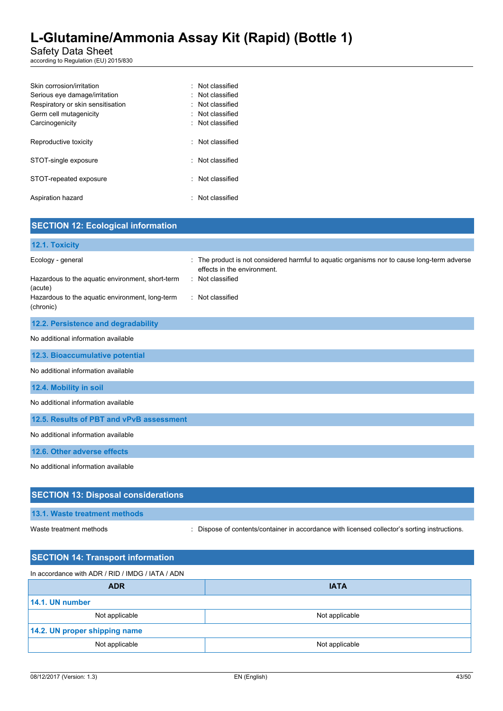### Safety Data Sheet

according to Regulation (EU) 2015/830

| Skin corrosion/irritation         | : Not classified       |
|-----------------------------------|------------------------|
| Serious eye damage/irritation     | : Not classified       |
| Respiratory or skin sensitisation | $\cdot$ Not classified |
| Germ cell mutagenicity            | : Not classified       |
| Carcinogenicity                   | : Not classified       |
|                                   |                        |
| Reproductive toxicity             | : Not classified       |
| STOT-single exposure              | · Not classified       |
|                                   |                        |
| STOT-repeated exposure            | · Not classified       |
|                                   |                        |
| Aspiration hazard                 | : Not classified       |
|                                   |                        |

| <b>SECTION 12: Ecological information</b>                                                                                                        |                                                                                                                                                                    |
|--------------------------------------------------------------------------------------------------------------------------------------------------|--------------------------------------------------------------------------------------------------------------------------------------------------------------------|
| 12.1. Toxicity                                                                                                                                   |                                                                                                                                                                    |
| Ecology - general<br>Hazardous to the aquatic environment, short-term<br>(acute)<br>Hazardous to the aquatic environment, long-term<br>(chronic) | : The product is not considered harmful to aquatic organisms nor to cause long-term adverse<br>effects in the environment.<br>: Not classified<br>: Not classified |
| 12.2. Persistence and degradability                                                                                                              |                                                                                                                                                                    |
| No additional information available                                                                                                              |                                                                                                                                                                    |
| 12.3. Bioaccumulative potential                                                                                                                  |                                                                                                                                                                    |
| No additional information available                                                                                                              |                                                                                                                                                                    |
| 12.4. Mobility in soil                                                                                                                           |                                                                                                                                                                    |
| No additional information available                                                                                                              |                                                                                                                                                                    |
| 12.5. Results of PBT and vPvB assessment                                                                                                         |                                                                                                                                                                    |
| No additional information available                                                                                                              |                                                                                                                                                                    |
| 12.6. Other adverse effects                                                                                                                      |                                                                                                                                                                    |
| No additional information available                                                                                                              |                                                                                                                                                                    |
| <b>SECTION 13: Disposal considerations</b>                                                                                                       |                                                                                                                                                                    |
| 13.1. Waste treatment methods                                                                                                                    |                                                                                                                                                                    |

Waste treatment methods : Dispose of contents/container in accordance with licensed collector's sorting instructions.

| <b>SECTION 14: Transport information</b>         |                |  |  |
|--------------------------------------------------|----------------|--|--|
| In accordance with ADR / RID / IMDG / IATA / ADN |                |  |  |
| <b>ADR</b><br><b>IATA</b>                        |                |  |  |
| 14.1. UN number                                  |                |  |  |
| Not applicable                                   | Not applicable |  |  |
| 14.2. UN proper shipping name                    |                |  |  |
| Not applicable<br>Not applicable                 |                |  |  |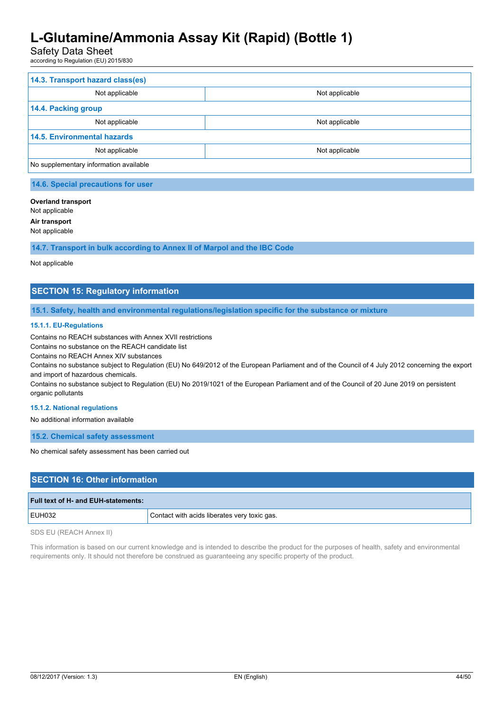# Safety Data Sheet

according to Regulation (EU) 2015/830

| 14.3. Transport hazard class(es)       |                |  |  |
|----------------------------------------|----------------|--|--|
| Not applicable                         | Not applicable |  |  |
| 14.4. Packing group                    |                |  |  |
| Not applicable                         | Not applicable |  |  |
| <b>14.5. Environmental hazards</b>     |                |  |  |
| Not applicable<br>Not applicable       |                |  |  |
| No supplementary information available |                |  |  |

# **14.6. Special precautions for user**

#### **Overland transport**

Not applicable

**Air transport**

#### Not applicable

**14.7. Transport in bulk according to Annex II of Marpol and the IBC Code**

#### Not applicable

# **SECTION 15: Regulatory information**

**15.1. Safety, health and environmental regulations/legislation specific for the substance or mixture**

#### **15.1.1. EU-Regulations**

Contains no REACH substances with Annex XVII restrictions

Contains no substance on the REACH candidate list

Contains no REACH Annex XIV substances

Contains no substance subject to Regulation (EU) No 649/2012 of the European Parliament and of the Council of 4 July 2012 concerning the export and import of hazardous chemicals.

Contains no substance subject to Regulation (EU) No 2019/1021 of the European Parliament and of the Council of 20 June 2019 on persistent organic pollutants

#### **15.1.2. National regulations**

No additional information available

**15.2. Chemical safety assessment**

No chemical safety assessment has been carried out

### **SECTION 16: Other information**

| Full text of H- and EUH-statements: |                                              |
|-------------------------------------|----------------------------------------------|
| <b>EUH032</b>                       | Contact with acids liberates very toxic gas. |
|                                     |                                              |

SDS EU (REACH Annex II)

This information is based on our current knowledge and is intended to describe the product for the purposes of health, safety and environmental requirements only. It should not therefore be construed as guaranteeing any specific property of the product.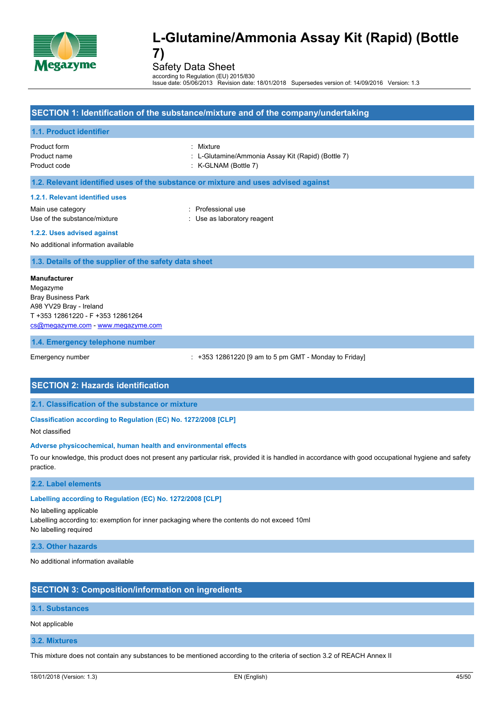

Safety Data Sheet

according to Regulation (EU) 2015/830 Issue date: 05/06/2013 Revision date: 18/01/2018 Supersedes version of: 14/09/2016 Version: 1.3

### **SECTION 1: Identification of the substance/mixture and of the company/undertaking**

#### **1.1. Product identifier**

Product form : Mixture

- Product name : L-Glutamine/Ammonia Assay Kit (Rapid) (Bottle 7)
- Product code : K-GLNAM (Bottle 7)

#### **1.2. Relevant identified uses of the substance or mixture and uses advised against**

#### **1.2.1. Relevant identified uses**

Main use category **in the set of the COV** and Main use the Professional use Use of the substance/mixture in the substance/mixture in the substance of the substance in the substance of the substance of the substance of the substance of the substance of the substance of the substance of the substanc

#### **1.2.2. Uses advised against**

No additional information available

#### **1.3. Details of the supplier of the safety data sheet**

**Manufacturer** Megazyme Bray Business Park A98 YV29 Bray - Ireland T +353 12861220 - F +353 12861264 [cs@megazyme.com](mailto:cs@megazyme.com) - <www.megazyme.com>

#### **1.4. Emergency telephone number**

Emergency number : +353 12861220 [9 am to 5 pm GMT - Monday to Friday]

#### **SECTION 2: Hazards identification**

**2.1. Classification of the substance or mixture**

#### **Classification according to Regulation (EC) No. 1272/2008 [CLP]**

Not classified

#### **Adverse physicochemical, human health and environmental effects**

To our knowledge, this product does not present any particular risk, provided it is handled in accordance with good occupational hygiene and safety practice.

#### **2.2. Label elements**

### **Labelling according to Regulation (EC) No. 1272/2008 [CLP]**

No labelling applicable Labelling according to: exemption for inner packaging where the contents do not exceed 10ml No labelling required

#### **2.3. Other hazards**

No additional information available

### **SECTION 3: Composition/information on ingredients**

### **3.1. Substances**

Not applicable

### **3.2. Mixtures**

This mixture does not contain any substances to be mentioned according to the criteria of section 3.2 of REACH Annex II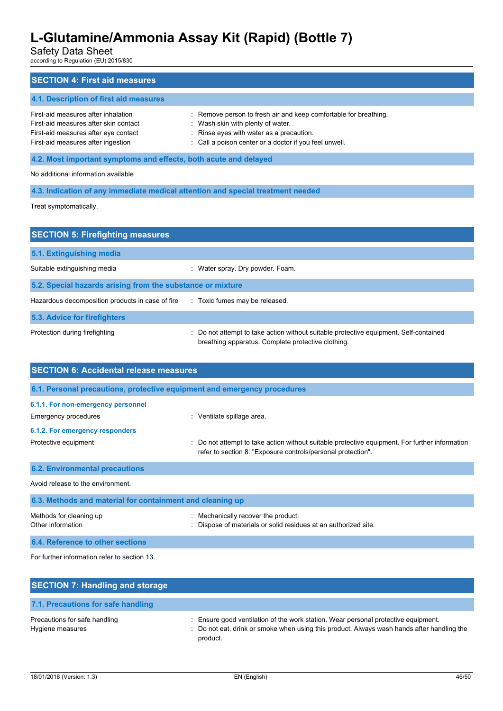Safety Data Sheet

according to Regulation (EU) 2015/830

| <b>SECTION 4: First aid measures</b>                                                                                                                       |                                                                                                                                                                                                             |  |  |
|------------------------------------------------------------------------------------------------------------------------------------------------------------|-------------------------------------------------------------------------------------------------------------------------------------------------------------------------------------------------------------|--|--|
| 4.1. Description of first aid measures                                                                                                                     |                                                                                                                                                                                                             |  |  |
| First-aid measures after inhalation<br>First-aid measures after skin contact<br>First-aid measures after eye contact<br>First-aid measures after ingestion | : Remove person to fresh air and keep comfortable for breathing.<br>: Wash skin with plenty of water.<br>: Rinse eyes with water as a precaution.<br>: Call a poison center or a doctor if you feel unwell. |  |  |
| 4.2. Most important symptoms and effects, both acute and delayed                                                                                           |                                                                                                                                                                                                             |  |  |
| No additional information available                                                                                                                        |                                                                                                                                                                                                             |  |  |
|                                                                                                                                                            | 4.3. Indication of any immediate medical attention and special treatment needed                                                                                                                             |  |  |
| Treat symptomatically.                                                                                                                                     |                                                                                                                                                                                                             |  |  |

| <b>SECTION 5: Firefighting measures</b>                    |                                                                                                                                             |  |  |  |
|------------------------------------------------------------|---------------------------------------------------------------------------------------------------------------------------------------------|--|--|--|
| 5.1. Extinguishing media                                   |                                                                                                                                             |  |  |  |
| Suitable extinguishing media                               | Water spray. Dry powder. Foam.                                                                                                              |  |  |  |
| 5.2. Special hazards arising from the substance or mixture |                                                                                                                                             |  |  |  |
| Hazardous decomposition products in case of fire           | : Toxic fumes may be released.                                                                                                              |  |  |  |
| 5.3. Advice for firefighters                               |                                                                                                                                             |  |  |  |
| Protection during firefighting                             | : Do not attempt to take action without suitable protective equipment. Self-contained<br>breathing apparatus. Complete protective clothing. |  |  |  |

| <b>SECTION 6: Accidental release measures</b>                            |                                                                                                                                                              |  |
|--------------------------------------------------------------------------|--------------------------------------------------------------------------------------------------------------------------------------------------------------|--|
| 6.1. Personal precautions, protective equipment and emergency procedures |                                                                                                                                                              |  |
| 6.1.1. For non-emergency personnel                                       |                                                                                                                                                              |  |
| Emergency procedures                                                     | : Ventilate spillage area.                                                                                                                                   |  |
| 6.1.2. For emergency responders                                          |                                                                                                                                                              |  |
| Protective equipment                                                     | Do not attempt to take action without suitable protective equipment. For further information<br>refer to section 8: "Exposure controls/personal protection". |  |
| <b>6.2. Environmental precautions</b>                                    |                                                                                                                                                              |  |
| Avoid release to the environment.                                        |                                                                                                                                                              |  |
| 6.3. Methods and material for containment and cleaning up                |                                                                                                                                                              |  |
| Methods for cleaning up<br>Other information                             | Mechanically recover the product.<br>Dispose of materials or solid residues at an authorized site.                                                           |  |
| 6.4. Reference to other sections                                         |                                                                                                                                                              |  |

For further information refer to section 13.

| <b>SECTION 7: Handling and storage</b>            |                                                                                                                                                                                              |
|---------------------------------------------------|----------------------------------------------------------------------------------------------------------------------------------------------------------------------------------------------|
| 7.1. Precautions for safe handling                |                                                                                                                                                                                              |
| Precautions for safe handling<br>Hygiene measures | : Ensure good ventilation of the work station. Wear personal protective equipment.<br>: Do not eat, drink or smoke when using this product. Always wash hands after handling the<br>product. |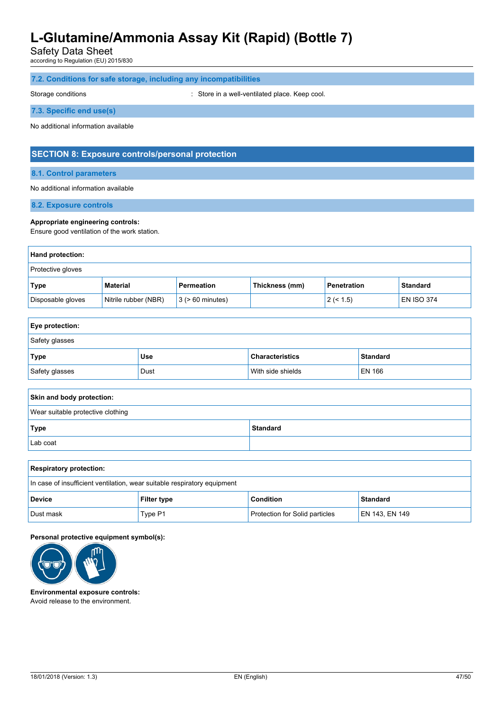Safety Data Sheet

according to Regulation (EU) 2015/830

### **7.2. Conditions for safe storage, including any incompatibilities**

Storage conditions **Storage conditions** : Store in a well-ventilated place. Keep cool.

#### **7.3. Specific end use(s)**

No additional information available

### **SECTION 8: Exposure controls/personal protection**

#### **8.1. Control parameters**

#### No additional information available

**8.2. Exposure controls**

#### **Appropriate engineering controls:**

Ensure good ventilation of the work station.

| Hand protection:  |                      |                       |                |             |                   |
|-------------------|----------------------|-----------------------|----------------|-------------|-------------------|
| Protective gloves |                      |                       |                |             |                   |
| Type              | Material             | Permeation            | Thickness (mm) | Penetration | <b>Standard</b>   |
| Disposable gloves | Nitrile rubber (NBR) | $3$ ( $> 60$ minutes) |                | 2 (< 1.5)   | <b>EN ISO 374</b> |

| <b>Eye protection:</b>                                |     |                        |                 |  |  |
|-------------------------------------------------------|-----|------------------------|-----------------|--|--|
| Safety glasses                                        |     |                        |                 |  |  |
| <b>Type</b>                                           | Use | <b>Characteristics</b> | <b>Standard</b> |  |  |
| Safety glasses<br>With side shields<br>EN 166<br>Dust |     |                        |                 |  |  |

| Skin and body protection:         |                 |  |  |  |
|-----------------------------------|-----------------|--|--|--|
| Wear suitable protective clothing |                 |  |  |  |
| Type                              | <b>Standard</b> |  |  |  |
| Lab coat                          |                 |  |  |  |

| <b>Respiratory protection:</b>                                           |         |                                       |                |  |  |
|--------------------------------------------------------------------------|---------|---------------------------------------|----------------|--|--|
| In case of insufficient ventilation, wear suitable respiratory equipment |         |                                       |                |  |  |
| Condition<br><b>Standard</b><br><b>Device</b><br><b>Filter type</b>      |         |                                       |                |  |  |
| Dust mask                                                                | Type P1 | <b>Protection for Solid particles</b> | EN 143, EN 149 |  |  |

#### **Personal protective equipment symbol(s):**



**Environmental exposure controls:** Avoid release to the environment.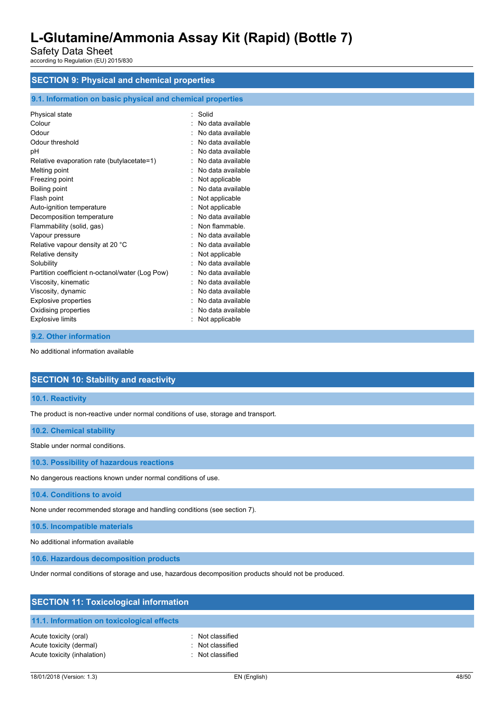Safety Data Sheet according to Regulation (EU) 2015/830

# **SECTION 9: Physical and chemical properties**

### **9.1. Information on basic physical and chemical properties**

| Physical state                                  | Solid             |
|-------------------------------------------------|-------------------|
| Colour                                          | No data available |
| Odour                                           | No data available |
|                                                 |                   |
| Odour threshold                                 | No data available |
| рH                                              | No data available |
| Relative evaporation rate (butylacetate=1)      | No data available |
| Melting point                                   | No data available |
| Freezing point                                  | Not applicable    |
| Boiling point                                   | No data available |
| Flash point                                     | Not applicable    |
| Auto-ignition temperature                       | Not applicable    |
| Decomposition temperature                       | No data available |
| Flammability (solid, gas)                       | Non flammable     |
| Vapour pressure                                 | No data available |
| Relative vapour density at 20 °C                | No data available |
| Relative density                                | Not applicable    |
| Solubility                                      | No data available |
| Partition coefficient n-octanol/water (Log Pow) | No data available |
| Viscosity, kinematic                            | No data available |
| Viscosity, dynamic                              | No data available |
| <b>Explosive properties</b>                     | No data available |
| Oxidising properties                            | No data available |
| <b>Explosive limits</b>                         | Not applicable    |

#### **9.2. Other information**

No additional information available

### **SECTION 10: Stability and reactivity**

#### **10.1. Reactivity**

The product is non-reactive under normal conditions of use, storage and transport.

### **10.2. Chemical stability**

Stable under normal conditions.

**10.3. Possibility of hazardous reactions**

No dangerous reactions known under normal conditions of use.

**10.4. Conditions to avoid**

None under recommended storage and handling conditions (see section 7).

**10.5. Incompatible materials**

No additional information available

**10.6. Hazardous decomposition products**

Under normal conditions of storage and use, hazardous decomposition products should not be produced.

| <b>SECTION 11: Toxicological information</b> |                  |  |  |  |
|----------------------------------------------|------------------|--|--|--|
| 11.1. Information on toxicological effects   |                  |  |  |  |
| Acute toxicity (oral)                        | : Not classified |  |  |  |
| Acute toxicity (dermal)                      | : Not classified |  |  |  |
| Acute toxicity (inhalation)                  | : Not classified |  |  |  |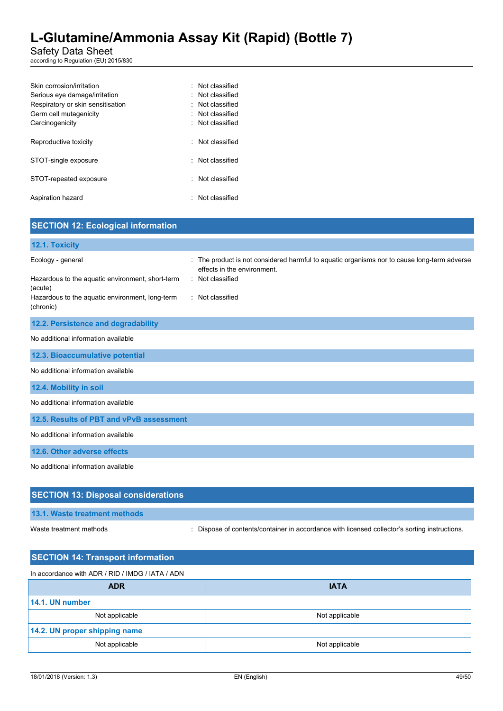### Safety Data Sheet

according to Regulation (EU) 2015/830

| Skin corrosion/irritation         | : Not classified       |
|-----------------------------------|------------------------|
| Serious eye damage/irritation     | : Not classified       |
| Respiratory or skin sensitisation | $\cdot$ Not classified |
| Germ cell mutagenicity            | : Not classified       |
| Carcinogenicity                   | : Not classified       |
|                                   |                        |
| Reproductive toxicity             | : Not classified       |
| STOT-single exposure              | · Not classified       |
|                                   |                        |
| STOT-repeated exposure            | · Not classified       |
|                                   |                        |
| Aspiration hazard                 | : Not classified       |
|                                   |                        |

| <b>SECTION 12: Ecological information</b>                                                                                                        |                                                                                                                                                                    |
|--------------------------------------------------------------------------------------------------------------------------------------------------|--------------------------------------------------------------------------------------------------------------------------------------------------------------------|
| 12.1. Toxicity                                                                                                                                   |                                                                                                                                                                    |
| Ecology - general<br>Hazardous to the aquatic environment, short-term<br>(acute)<br>Hazardous to the aquatic environment, long-term<br>(chronic) | : The product is not considered harmful to aquatic organisms nor to cause long-term adverse<br>effects in the environment.<br>: Not classified<br>: Not classified |
| 12.2. Persistence and degradability                                                                                                              |                                                                                                                                                                    |
| No additional information available                                                                                                              |                                                                                                                                                                    |
| 12.3. Bioaccumulative potential                                                                                                                  |                                                                                                                                                                    |
| No additional information available                                                                                                              |                                                                                                                                                                    |
| 12.4. Mobility in soil                                                                                                                           |                                                                                                                                                                    |
| No additional information available                                                                                                              |                                                                                                                                                                    |
| 12.5. Results of PBT and vPvB assessment                                                                                                         |                                                                                                                                                                    |
| No additional information available                                                                                                              |                                                                                                                                                                    |
| 12.6. Other adverse effects                                                                                                                      |                                                                                                                                                                    |
| No additional information available                                                                                                              |                                                                                                                                                                    |
| <b>SECTION 13: Disposal considerations</b>                                                                                                       |                                                                                                                                                                    |
| 13.1. Waste treatment methods                                                                                                                    |                                                                                                                                                                    |

Waste treatment methods : Dispose of contents/container in accordance with licensed collector's sorting instructions.

| <b>SECTION 14: Transport information</b> |  |  |  |  |
|------------------------------------------|--|--|--|--|
|                                          |  |  |  |  |
| <b>IATA</b>                              |  |  |  |  |
|                                          |  |  |  |  |
| Not applicable                           |  |  |  |  |
| 14.2. UN proper shipping name            |  |  |  |  |
| Not applicable                           |  |  |  |  |
|                                          |  |  |  |  |